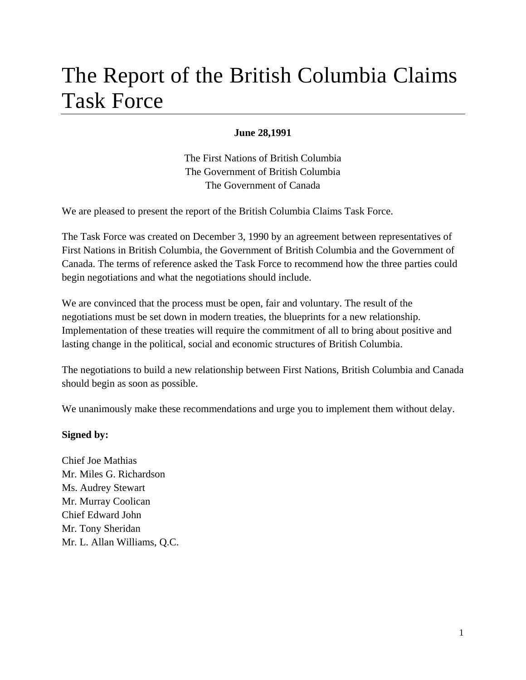# The Report of the British Columbia Claims Task Force

#### **June 28,1991**

The First Nations of British Columbia The Government of British Columbia The Government of Canada

We are pleased to present the report of the British Columbia Claims Task Force.

The Task Force was created on December 3, 1990 by an agreement between representatives of First Nations in British Columbia, the Government of British Columbia and the Government of Canada. The terms of reference asked the Task Force to recommend how the three parties could begin negotiations and what the negotiations should include.

We are convinced that the process must be open, fair and voluntary. The result of the negotiations must be set down in modern treaties, the blueprints for a new relationship. Implementation of these treaties will require the commitment of all to bring about positive and lasting change in the political, social and economic structures of British Columbia.

The negotiations to build a new relationship between First Nations, British Columbia and Canada should begin as soon as possible.

We unanimously make these recommendations and urge you to implement them without delay.

#### **Signed by:**

Chief Joe Mathias Mr. Miles G. Richardson Ms. Audrey Stewart Mr. Murray Coolican Chief Edward John Mr. Tony Sheridan Mr. L. Allan Williams, Q.C.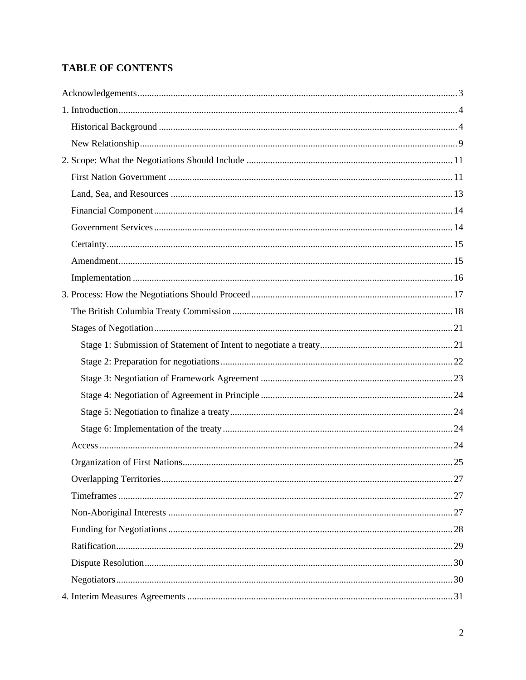# **TABLE OF CONTENTS**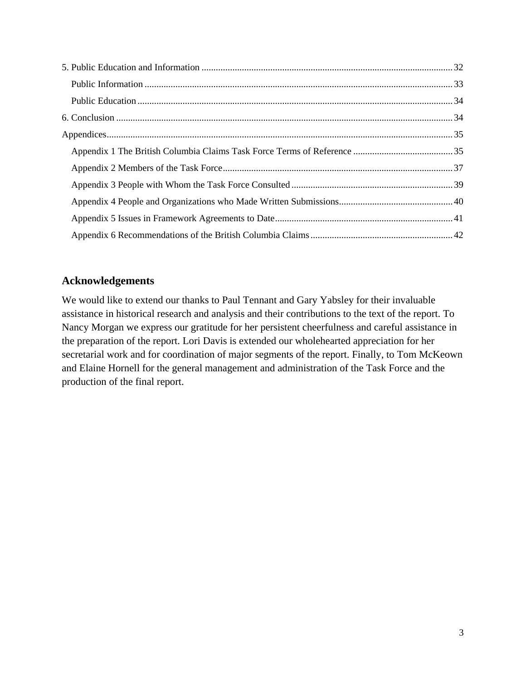## **Acknowledgements**

We would like to extend our thanks to Paul Tennant and Gary Yabsley for their invaluable assistance in historical research and analysis and their contributions to the text of the report. To Nancy Morgan we express our gratitude for her persistent cheerfulness and careful assistance in the preparation of the report. Lori Davis is extended our wholehearted appreciation for her secretarial work and for coordination of major segments of the report. Finally, to Tom McKeown and Elaine Hornell for the general management and administration of the Task Force and the production of the final report.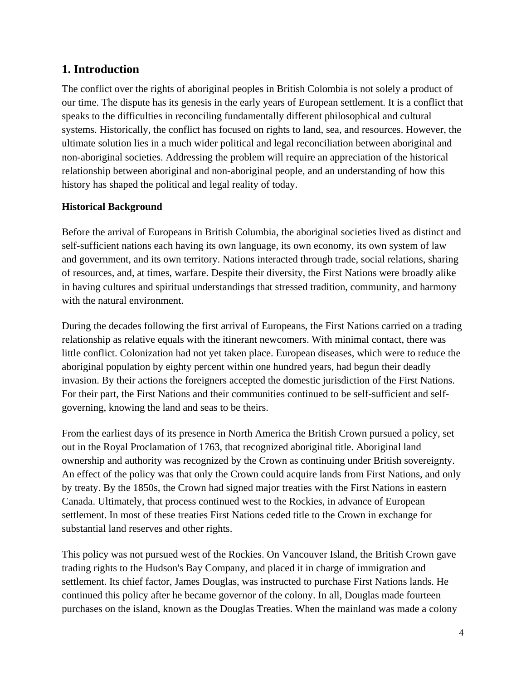# **1. Introduction**

The conflict over the rights of aboriginal peoples in British Colombia is not solely a product of our time. The dispute has its genesis in the early years of European settlement. It is a conflict that speaks to the difficulties in reconciling fundamentally different philosophical and cultural systems. Historically, the conflict has focused on rights to land, sea, and resources. However, the ultimate solution lies in a much wider political and legal reconciliation between aboriginal and non-aboriginal societies. Addressing the problem will require an appreciation of the historical relationship between aboriginal and non-aboriginal people, and an understanding of how this history has shaped the political and legal reality of today.

## **Historical Background**

Before the arrival of Europeans in British Columbia, the aboriginal societies lived as distinct and self-sufficient nations each having its own language, its own economy, its own system of law and government, and its own territory. Nations interacted through trade, social relations, sharing of resources, and, at times, warfare. Despite their diversity, the First Nations were broadly alike in having cultures and spiritual understandings that stressed tradition, community, and harmony with the natural environment.

During the decades following the first arrival of Europeans, the First Nations carried on a trading relationship as relative equals with the itinerant newcomers. With minimal contact, there was little conflict. Colonization had not yet taken place. European diseases, which were to reduce the aboriginal population by eighty percent within one hundred years, had begun their deadly invasion. By their actions the foreigners accepted the domestic jurisdiction of the First Nations. For their part, the First Nations and their communities continued to be self-sufficient and selfgoverning, knowing the land and seas to be theirs.

From the earliest days of its presence in North America the British Crown pursued a policy, set out in the Royal Proclamation of 1763, that recognized aboriginal title. Aboriginal land ownership and authority was recognized by the Crown as continuing under British sovereignty. An effect of the policy was that only the Crown could acquire lands from First Nations, and only by treaty. By the 1850s, the Crown had signed major treaties with the First Nations in eastern Canada. Ultimately, that process continued west to the Rockies, in advance of European settlement. In most of these treaties First Nations ceded title to the Crown in exchange for substantial land reserves and other rights.

This policy was not pursued west of the Rockies. On Vancouver Island, the British Crown gave trading rights to the Hudson's Bay Company, and placed it in charge of immigration and settlement. Its chief factor, James Douglas, was instructed to purchase First Nations lands. He continued this policy after he became governor of the colony. In all, Douglas made fourteen purchases on the island, known as the Douglas Treaties. When the mainland was made a colony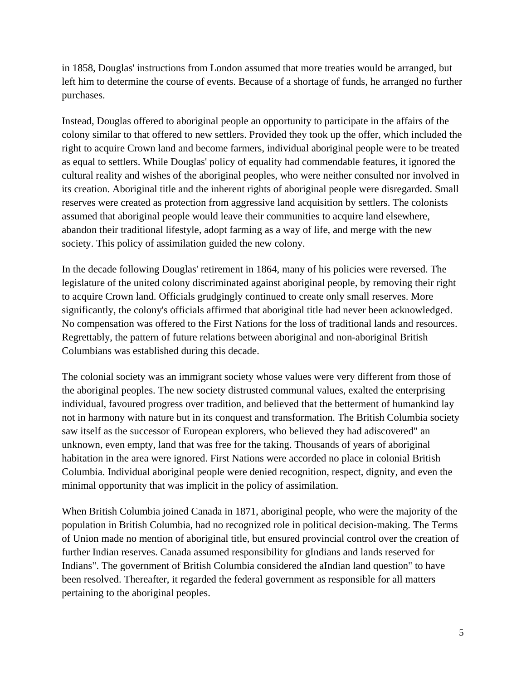in 1858, Douglas' instructions from London assumed that more treaties would be arranged, but left him to determine the course of events. Because of a shortage of funds, he arranged no further purchases.

Instead, Douglas offered to aboriginal people an opportunity to participate in the affairs of the colony similar to that offered to new settlers. Provided they took up the offer, which included the right to acquire Crown land and become farmers, individual aboriginal people were to be treated as equal to settlers. While Douglas' policy of equality had commendable features, it ignored the cultural reality and wishes of the aboriginal peoples, who were neither consulted nor involved in its creation. Aboriginal title and the inherent rights of aboriginal people were disregarded. Small reserves were created as protection from aggressive land acquisition by settlers. The colonists assumed that aboriginal people would leave their communities to acquire land elsewhere, abandon their traditional lifestyle, adopt farming as a way of life, and merge with the new society. This policy of assimilation guided the new colony.

In the decade following Douglas' retirement in 1864, many of his policies were reversed. The legislature of the united colony discriminated against aboriginal people, by removing their right to acquire Crown land. Officials grudgingly continued to create only small reserves. More significantly, the colony's officials affirmed that aboriginal title had never been acknowledged. No compensation was offered to the First Nations for the loss of traditional lands and resources. Regrettably, the pattern of future relations between aboriginal and non-aboriginal British Columbians was established during this decade.

The colonial society was an immigrant society whose values were very different from those of the aboriginal peoples. The new society distrusted communal values, exalted the enterprising individual, favoured progress over tradition, and believed that the betterment of humankind lay not in harmony with nature but in its conquest and transformation. The British Columbia society saw itself as the successor of European explorers, who believed they had adiscovered" an unknown, even empty, land that was free for the taking. Thousands of years of aboriginal habitation in the area were ignored. First Nations were accorded no place in colonial British Columbia. Individual aboriginal people were denied recognition, respect, dignity, and even the minimal opportunity that was implicit in the policy of assimilation.

When British Columbia joined Canada in 1871, aboriginal people, who were the majority of the population in British Columbia, had no recognized role in political decision-making. The Terms of Union made no mention of aboriginal title, but ensured provincial control over the creation of further Indian reserves. Canada assumed responsibility for gIndians and lands reserved for Indians". The government of British Columbia considered the aIndian land question" to have been resolved. Thereafter, it regarded the federal government as responsible for all matters pertaining to the aboriginal peoples.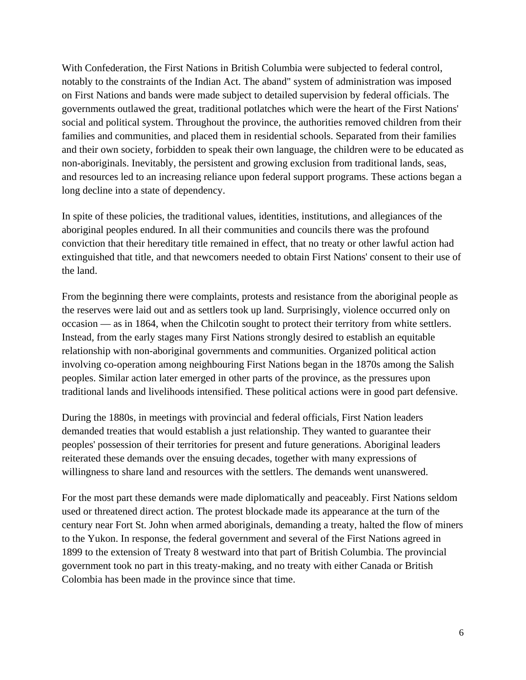With Confederation, the First Nations in British Columbia were subjected to federal control, notably to the constraints of the Indian Act. The aband" system of administration was imposed on First Nations and bands were made subject to detailed supervision by federal officials. The governments outlawed the great, traditional potlatches which were the heart of the First Nations' social and political system. Throughout the province, the authorities removed children from their families and communities, and placed them in residential schools. Separated from their families and their own society, forbidden to speak their own language, the children were to be educated as non-aboriginals. Inevitably, the persistent and growing exclusion from traditional lands, seas, and resources led to an increasing reliance upon federal support programs. These actions began a long decline into a state of dependency.

In spite of these policies, the traditional values, identities, institutions, and allegiances of the aboriginal peoples endured. In all their communities and councils there was the profound conviction that their hereditary title remained in effect, that no treaty or other lawful action had extinguished that title, and that newcomers needed to obtain First Nations' consent to their use of the land.

From the beginning there were complaints, protests and resistance from the aboriginal people as the reserves were laid out and as settlers took up land. Surprisingly, violence occurred only on occasion — as in 1864, when the Chilcotin sought to protect their territory from white settlers. Instead, from the early stages many First Nations strongly desired to establish an equitable relationship with non-aboriginal governments and communities. Organized political action involving co-operation among neighbouring First Nations began in the 1870s among the Salish peoples. Similar action later emerged in other parts of the province, as the pressures upon traditional lands and livelihoods intensified. These political actions were in good part defensive.

During the 1880s, in meetings with provincial and federal officials, First Nation leaders demanded treaties that would establish a just relationship. They wanted to guarantee their peoples' possession of their territories for present and future generations. Aboriginal leaders reiterated these demands over the ensuing decades, together with many expressions of willingness to share land and resources with the settlers. The demands went unanswered.

For the most part these demands were made diplomatically and peaceably. First Nations seldom used or threatened direct action. The protest blockade made its appearance at the turn of the century near Fort St. John when armed aboriginals, demanding a treaty, halted the flow of miners to the Yukon. In response, the federal government and several of the First Nations agreed in 1899 to the extension of Treaty 8 westward into that part of British Columbia. The provincial government took no part in this treaty-making, and no treaty with either Canada or British Colombia has been made in the province since that time.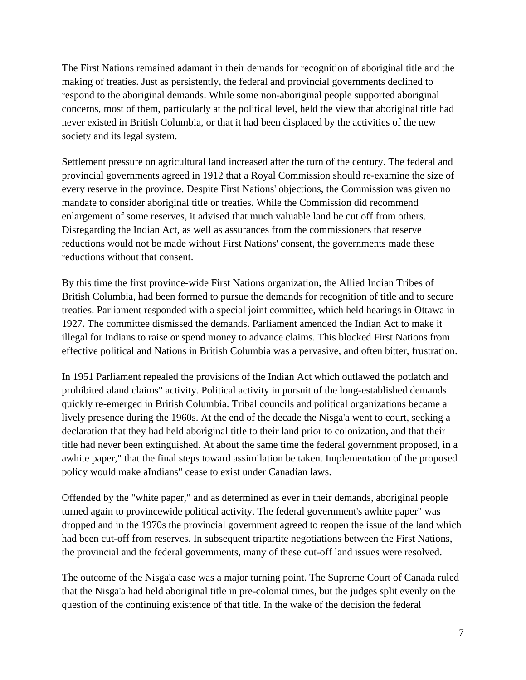The First Nations remained adamant in their demands for recognition of aboriginal title and the making of treaties. Just as persistently, the federal and provincial governments declined to respond to the aboriginal demands. While some non-aboriginal people supported aboriginal concerns, most of them, particularly at the political level, held the view that aboriginal title had never existed in British Columbia, or that it had been displaced by the activities of the new society and its legal system.

Settlement pressure on agricultural land increased after the turn of the century. The federal and provincial governments agreed in 1912 that a Royal Commission should re-examine the size of every reserve in the province. Despite First Nations' objections, the Commission was given no mandate to consider aboriginal title or treaties. While the Commission did recommend enlargement of some reserves, it advised that much valuable land be cut off from others. Disregarding the Indian Act, as well as assurances from the commissioners that reserve reductions would not be made without First Nations' consent, the governments made these reductions without that consent.

By this time the first province-wide First Nations organization, the Allied Indian Tribes of British Columbia, had been formed to pursue the demands for recognition of title and to secure treaties. Parliament responded with a special joint committee, which held hearings in Ottawa in 1927. The committee dismissed the demands. Parliament amended the Indian Act to make it illegal for Indians to raise or spend money to advance claims. This blocked First Nations from effective political and Nations in British Columbia was a pervasive, and often bitter, frustration.

In 1951 Parliament repealed the provisions of the Indian Act which outlawed the potlatch and prohibited aland claims" activity. Political activity in pursuit of the long-established demands quickly re-emerged in British Columbia. Tribal councils and political organizations became a lively presence during the 1960s. At the end of the decade the Nisga'a went to court, seeking a declaration that they had held aboriginal title to their land prior to colonization, and that their title had never been extinguished. At about the same time the federal government proposed, in a awhite paper," that the final steps toward assimilation be taken. Implementation of the proposed policy would make aIndians" cease to exist under Canadian laws.

Offended by the "white paper," and as determined as ever in their demands, aboriginal people turned again to provincewide political activity. The federal government's awhite paper" was dropped and in the 1970s the provincial government agreed to reopen the issue of the land which had been cut-off from reserves. In subsequent tripartite negotiations between the First Nations, the provincial and the federal governments, many of these cut-off land issues were resolved.

The outcome of the Nisga'a case was a major turning point. The Supreme Court of Canada ruled that the Nisga'a had held aboriginal title in pre-colonial times, but the judges split evenly on the question of the continuing existence of that title. In the wake of the decision the federal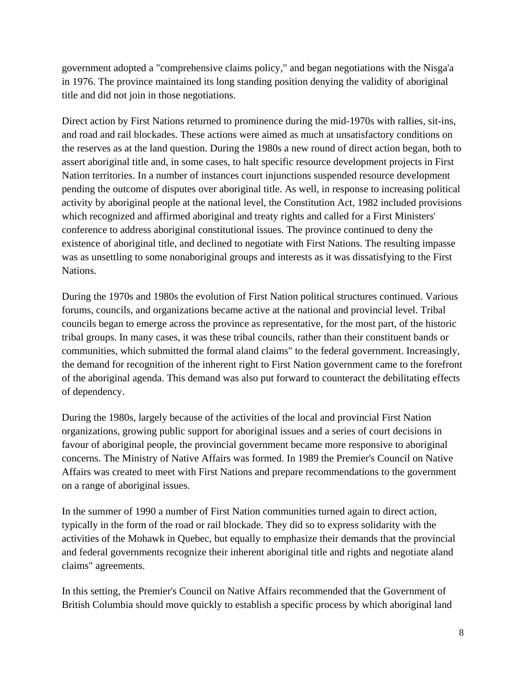government adopted a "comprehensive claims policy," and began negotiations with the Nisga'a in 1976. The province maintained its long standing position denying the validity of aboriginal title and did not join in those negotiations.

Direct action by First Nations returned to prominence during the mid-1970s with rallies, sit-ins, and road and rail blockades. These actions were aimed as much at unsatisfactory conditions on the reserves as at the land question. During the 1980s a new round of direct action began, both to assert aboriginal title and, in some cases, to halt specific resource development projects in First Nation territories. In a number of instances court injunctions suspended resource development pending the outcome of disputes over aboriginal title. As well, in response to increasing political activity by aboriginal people at the national level, the Constitution Act, 1982 included provisions which recognized and affirmed aboriginal and treaty rights and called for a First Ministers' conference to address aboriginal constitutional issues. The province continued to deny the existence of aboriginal title, and declined to negotiate with First Nations. The resulting impasse was as unsettling to some nonaboriginal groups and interests as it was dissatisfying to the First Nations.

During the 1970s and 1980s the evolution of First Nation political structures continued. Various forums, councils, and organizations became active at the national and provincial level. Tribal councils began to emerge across the province as representative, for the most part, of the historic tribal groups. In many cases, it was these tribal councils, rather than their constituent bands or communities, which submitted the formal aland claims" to the federal government. Increasingly, the demand for recognition of the inherent right to First Nation government came to the forefront of the aboriginal agenda. This demand was also put forward to counteract the debilitating effects of dependency.

During the 1980s, largely because of the activities of the local and provincial First Nation organizations, growing public support for aboriginal issues and a series of court decisions in favour of aboriginal people, the provincial government became more responsive to aboriginal concerns. The Ministry of Native Affairs was formed. In 1989 the Premier's Council on Native Affairs was created to meet with First Nations and prepare recommendations to the government on a range of aboriginal issues.

In the summer of 1990 a number of First Nation communities turned again to direct action, typically in the form of the road or rail blockade. They did so to express solidarity with the activities of the Mohawk in Quebec, but equally to emphasize their demands that the provincial and federal governments recognize their inherent aboriginal title and rights and negotiate aland claims" agreements.

In this setting, the Premier's Council on Native Affairs recommended that the Government of British Columbia should move quickly to establish a specific process by which aboriginal land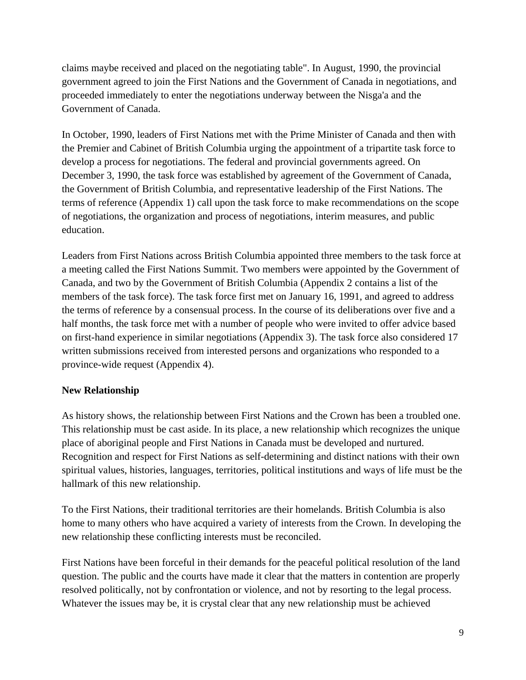claims maybe received and placed on the negotiating table". In August, 1990, the provincial government agreed to join the First Nations and the Government of Canada in negotiations, and proceeded immediately to enter the negotiations underway between the Nisga'a and the Government of Canada.

In October, 1990, leaders of First Nations met with the Prime Minister of Canada and then with the Premier and Cabinet of British Columbia urging the appointment of a tripartite task force to develop a process for negotiations. The federal and provincial governments agreed. On December 3, 1990, the task force was established by agreement of the Government of Canada, the Government of British Columbia, and representative leadership of the First Nations. The terms of reference (Appendix 1) call upon the task force to make recommendations on the scope of negotiations, the organization and process of negotiations, interim measures, and public education.

Leaders from First Nations across British Columbia appointed three members to the task force at a meeting called the First Nations Summit. Two members were appointed by the Government of Canada, and two by the Government of British Columbia (Appendix 2 contains a list of the members of the task force). The task force first met on January 16, 1991, and agreed to address the terms of reference by a consensual process. In the course of its deliberations over five and a half months, the task force met with a number of people who were invited to offer advice based on first-hand experience in similar negotiations (Appendix 3). The task force also considered 17 written submissions received from interested persons and organizations who responded to a province-wide request (Appendix 4).

#### **New Relationship**

As history shows, the relationship between First Nations and the Crown has been a troubled one. This relationship must be cast aside. In its place, a new relationship which recognizes the unique place of aboriginal people and First Nations in Canada must be developed and nurtured. Recognition and respect for First Nations as self-determining and distinct nations with their own spiritual values, histories, languages, territories, political institutions and ways of life must be the hallmark of this new relationship.

To the First Nations, their traditional territories are their homelands. British Columbia is also home to many others who have acquired a variety of interests from the Crown. In developing the new relationship these conflicting interests must be reconciled.

First Nations have been forceful in their demands for the peaceful political resolution of the land question. The public and the courts have made it clear that the matters in contention are properly resolved politically, not by confrontation or violence, and not by resorting to the legal process. Whatever the issues may be, it is crystal clear that any new relationship must be achieved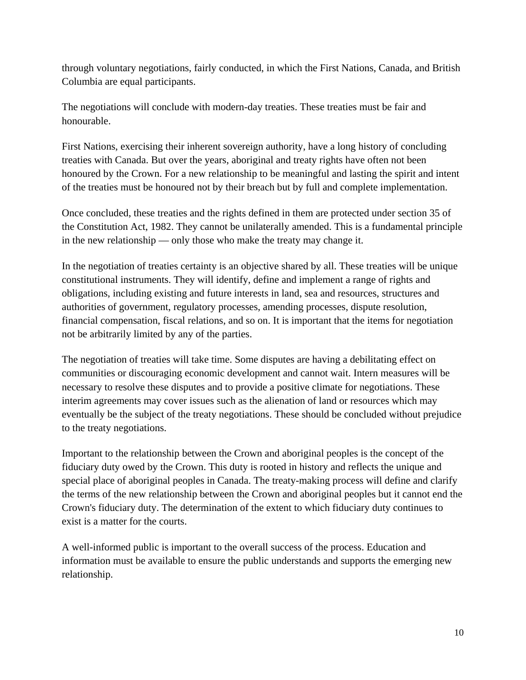through voluntary negotiations, fairly conducted, in which the First Nations, Canada, and British Columbia are equal participants.

The negotiations will conclude with modern-day treaties. These treaties must be fair and honourable.

First Nations, exercising their inherent sovereign authority, have a long history of concluding treaties with Canada. But over the years, aboriginal and treaty rights have often not been honoured by the Crown. For a new relationship to be meaningful and lasting the spirit and intent of the treaties must be honoured not by their breach but by full and complete implementation.

Once concluded, these treaties and the rights defined in them are protected under section 35 of the Constitution Act, 1982. They cannot be unilaterally amended. This is a fundamental principle in the new relationship — only those who make the treaty may change it.

In the negotiation of treaties certainty is an objective shared by all. These treaties will be unique constitutional instruments. They will identify, define and implement a range of rights and obligations, including existing and future interests in land, sea and resources, structures and authorities of government, regulatory processes, amending processes, dispute resolution, financial compensation, fiscal relations, and so on. It is important that the items for negotiation not be arbitrarily limited by any of the parties.

The negotiation of treaties will take time. Some disputes are having a debilitating effect on communities or discouraging economic development and cannot wait. Intern measures will be necessary to resolve these disputes and to provide a positive climate for negotiations. These interim agreements may cover issues such as the alienation of land or resources which may eventually be the subject of the treaty negotiations. These should be concluded without prejudice to the treaty negotiations.

Important to the relationship between the Crown and aboriginal peoples is the concept of the fiduciary duty owed by the Crown. This duty is rooted in history and reflects the unique and special place of aboriginal peoples in Canada. The treaty-making process will define and clarify the terms of the new relationship between the Crown and aboriginal peoples but it cannot end the Crown's fiduciary duty. The determination of the extent to which fiduciary duty continues to exist is a matter for the courts.

A well-informed public is important to the overall success of the process. Education and information must be available to ensure the public understands and supports the emerging new relationship.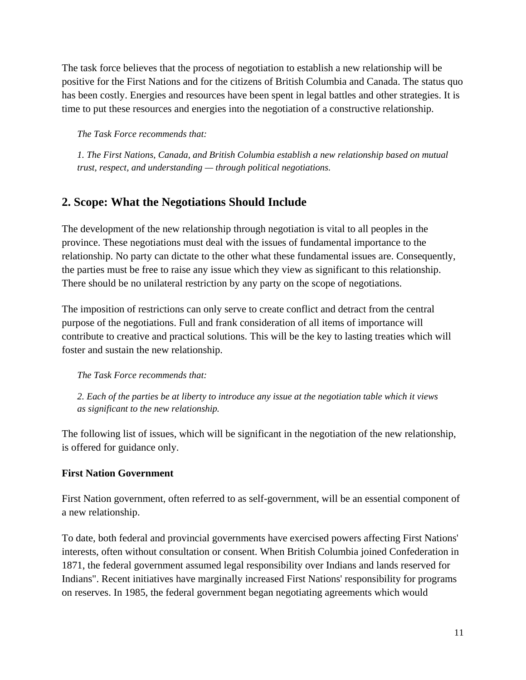The task force believes that the process of negotiation to establish a new relationship will be positive for the First Nations and for the citizens of British Columbia and Canada. The status quo has been costly. Energies and resources have been spent in legal battles and other strategies. It is time to put these resources and energies into the negotiation of a constructive relationship.

*The Task Force recommends that:* 

*1. The First Nations, Canada, and British Columbia establish a new relationship based on mutual trust, respect, and understanding — through political negotiations.* 

# **2. Scope: What the Negotiations Should Include**

The development of the new relationship through negotiation is vital to all peoples in the province. These negotiations must deal with the issues of fundamental importance to the relationship. No party can dictate to the other what these fundamental issues are. Consequently, the parties must be free to raise any issue which they view as significant to this relationship. There should be no unilateral restriction by any party on the scope of negotiations.

The imposition of restrictions can only serve to create conflict and detract from the central purpose of the negotiations. Full and frank consideration of all items of importance will contribute to creative and practical solutions. This will be the key to lasting treaties which will foster and sustain the new relationship.

*The Task Force recommends that:* 

*2. Each of the parties be at liberty to introduce any issue at the negotiation table which it views as significant to the new relationship.* 

The following list of issues, which will be significant in the negotiation of the new relationship, is offered for guidance only.

#### **First Nation Government**

First Nation government, often referred to as self-government, will be an essential component of a new relationship.

To date, both federal and provincial governments have exercised powers affecting First Nations' interests, often without consultation or consent. When British Columbia joined Confederation in 1871, the federal government assumed legal responsibility over Indians and lands reserved for Indians". Recent initiatives have marginally increased First Nations' responsibility for programs on reserves. In 1985, the federal government began negotiating agreements which would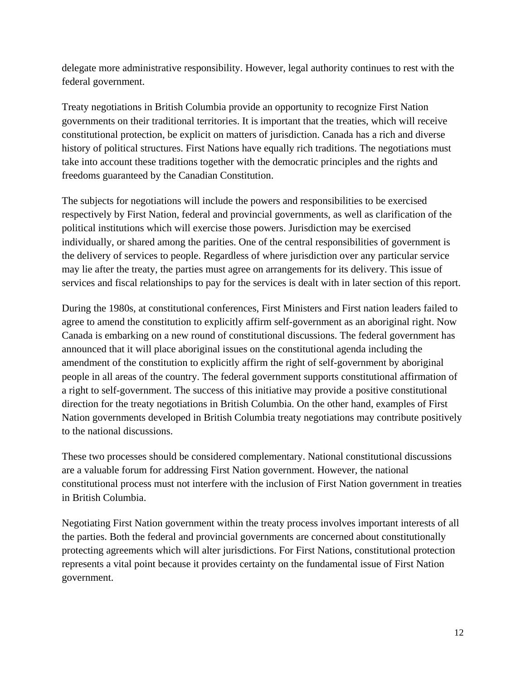delegate more administrative responsibility. However, legal authority continues to rest with the federal government.

Treaty negotiations in British Columbia provide an opportunity to recognize First Nation governments on their traditional territories. It is important that the treaties, which will receive constitutional protection, be explicit on matters of jurisdiction. Canada has a rich and diverse history of political structures. First Nations have equally rich traditions. The negotiations must take into account these traditions together with the democratic principles and the rights and freedoms guaranteed by the Canadian Constitution.

The subjects for negotiations will include the powers and responsibilities to be exercised respectively by First Nation, federal and provincial governments, as well as clarification of the political institutions which will exercise those powers. Jurisdiction may be exercised individually, or shared among the parities. One of the central responsibilities of government is the delivery of services to people. Regardless of where jurisdiction over any particular service may lie after the treaty, the parties must agree on arrangements for its delivery. This issue of services and fiscal relationships to pay for the services is dealt with in later section of this report.

During the 1980s, at constitutional conferences, First Ministers and First nation leaders failed to agree to amend the constitution to explicitly affirm self-government as an aboriginal right. Now Canada is embarking on a new round of constitutional discussions. The federal government has announced that it will place aboriginal issues on the constitutional agenda including the amendment of the constitution to explicitly affirm the right of self-government by aboriginal people in all areas of the country. The federal government supports constitutional affirmation of a right to self-government. The success of this initiative may provide a positive constitutional direction for the treaty negotiations in British Columbia. On the other hand, examples of First Nation governments developed in British Columbia treaty negotiations may contribute positively to the national discussions.

These two processes should be considered complementary. National constitutional discussions are a valuable forum for addressing First Nation government. However, the national constitutional process must not interfere with the inclusion of First Nation government in treaties in British Columbia.

Negotiating First Nation government within the treaty process involves important interests of all the parties. Both the federal and provincial governments are concerned about constitutionally protecting agreements which will alter jurisdictions. For First Nations, constitutional protection represents a vital point because it provides certainty on the fundamental issue of First Nation government.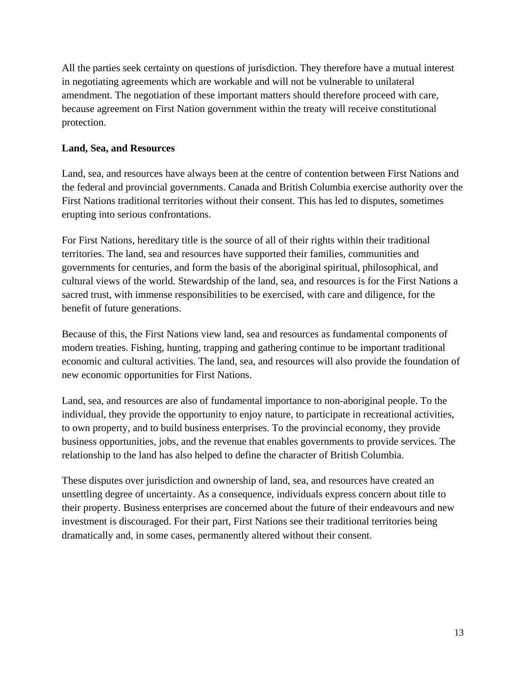All the parties seek certainty on questions of jurisdiction. They therefore have a mutual interest in negotiating agreements which are workable and will not be vulnerable to unilateral amendment. The negotiation of these important matters should therefore proceed with care, because agreement on First Nation government within the treaty will receive constitutional protection.

#### **Land, Sea, and Resources**

Land, sea, and resources have always been at the centre of contention between First Nations and the federal and provincial governments. Canada and British Columbia exercise authority over the First Nations traditional territories without their consent. This has led to disputes, sometimes erupting into serious confrontations.

For First Nations, hereditary title is the source of all of their rights within their traditional territories. The land, sea and resources have supported their families, communities and governments for centuries, and form the basis of the aboriginal spiritual, philosophical, and cultural views of the world. Stewardship of the land, sea, and resources is for the First Nations a sacred trust, with immense responsibilities to be exercised, with care and diligence, for the benefit of future generations.

Because of this, the First Nations view land, sea and resources as fundamental components of modern treaties. Fishing, hunting, trapping and gathering continue to be important traditional economic and cultural activities. The land, sea, and resources will also provide the foundation of new economic opportunities for First Nations.

Land, sea, and resources are also of fundamental importance to non-aboriginal people. To the individual, they provide the opportunity to enjoy nature, to participate in recreational activities, to own property, and to build business enterprises. To the provincial economy, they provide business opportunities, jobs, and the revenue that enables governments to provide services. The relationship to the land has also helped to define the character of British Columbia.

These disputes over jurisdiction and ownership of land, sea, and resources have created an unsettling degree of uncertainty. As a consequence, individuals express concern about title to their property. Business enterprises are concerned about the future of their endeavours and new investment is discouraged. For their part, First Nations see their traditional territories being dramatically and, in some cases, permanently altered without their consent.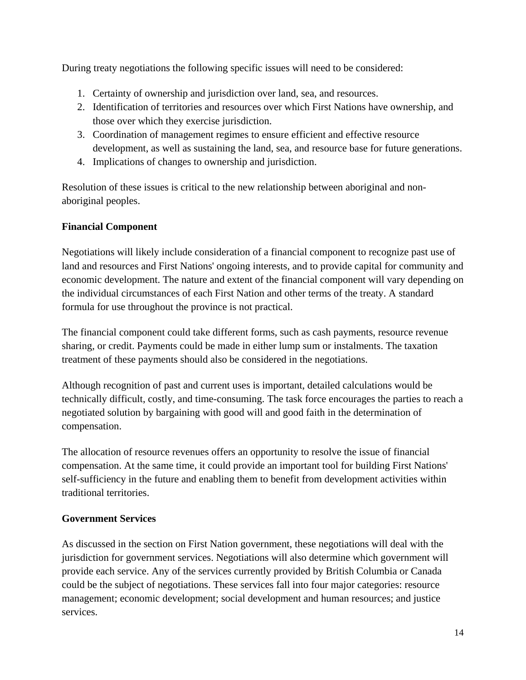During treaty negotiations the following specific issues will need to be considered:

- 1. Certainty of ownership and jurisdiction over land, sea, and resources.
- 2. Identification of territories and resources over which First Nations have ownership, and those over which they exercise jurisdiction.
- 3. Coordination of management regimes to ensure efficient and effective resource development, as well as sustaining the land, sea, and resource base for future generations.
- 4. Implications of changes to ownership and jurisdiction.

Resolution of these issues is critical to the new relationship between aboriginal and nonaboriginal peoples.

## **Financial Component**

Negotiations will likely include consideration of a financial component to recognize past use of land and resources and First Nations' ongoing interests, and to provide capital for community and economic development. The nature and extent of the financial component will vary depending on the individual circumstances of each First Nation and other terms of the treaty. A standard formula for use throughout the province is not practical.

The financial component could take different forms, such as cash payments, resource revenue sharing, or credit. Payments could be made in either lump sum or instalments. The taxation treatment of these payments should also be considered in the negotiations.

Although recognition of past and current uses is important, detailed calculations would be technically difficult, costly, and time-consuming. The task force encourages the parties to reach a negotiated solution by bargaining with good will and good faith in the determination of compensation.

The allocation of resource revenues offers an opportunity to resolve the issue of financial compensation. At the same time, it could provide an important tool for building First Nations' self-sufficiency in the future and enabling them to benefit from development activities within traditional territories.

#### **Government Services**

As discussed in the section on First Nation government, these negotiations will deal with the jurisdiction for government services. Negotiations will also determine which government will provide each service. Any of the services currently provided by British Columbia or Canada could be the subject of negotiations. These services fall into four major categories: resource management; economic development; social development and human resources; and justice services.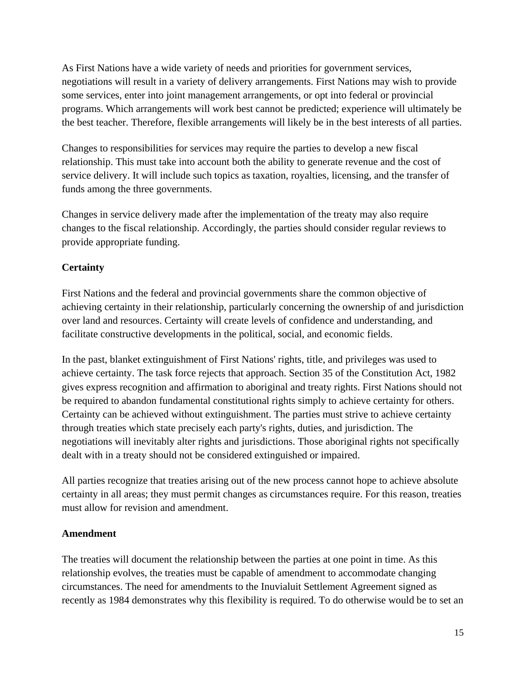As First Nations have a wide variety of needs and priorities for government services, negotiations will result in a variety of delivery arrangements. First Nations may wish to provide some services, enter into joint management arrangements, or opt into federal or provincial programs. Which arrangements will work best cannot be predicted; experience will ultimately be the best teacher. Therefore, flexible arrangements will likely be in the best interests of all parties.

Changes to responsibilities for services may require the parties to develop a new fiscal relationship. This must take into account both the ability to generate revenue and the cost of service delivery. It will include such topics as taxation, royalties, licensing, and the transfer of funds among the three governments.

Changes in service delivery made after the implementation of the treaty may also require changes to the fiscal relationship. Accordingly, the parties should consider regular reviews to provide appropriate funding.

## **Certainty**

First Nations and the federal and provincial governments share the common objective of achieving certainty in their relationship, particularly concerning the ownership of and jurisdiction over land and resources. Certainty will create levels of confidence and understanding, and facilitate constructive developments in the political, social, and economic fields.

In the past, blanket extinguishment of First Nations' rights, title, and privileges was used to achieve certainty. The task force rejects that approach. Section 35 of the Constitution Act, 1982 gives express recognition and affirmation to aboriginal and treaty rights. First Nations should not be required to abandon fundamental constitutional rights simply to achieve certainty for others. Certainty can be achieved without extinguishment. The parties must strive to achieve certainty through treaties which state precisely each party's rights, duties, and jurisdiction. The negotiations will inevitably alter rights and jurisdictions. Those aboriginal rights not specifically dealt with in a treaty should not be considered extinguished or impaired.

All parties recognize that treaties arising out of the new process cannot hope to achieve absolute certainty in all areas; they must permit changes as circumstances require. For this reason, treaties must allow for revision and amendment.

# **Amendment**

The treaties will document the relationship between the parties at one point in time. As this relationship evolves, the treaties must be capable of amendment to accommodate changing circumstances. The need for amendments to the Inuvialuit Settlement Agreement signed as recently as 1984 demonstrates why this flexibility is required. To do otherwise would be to set an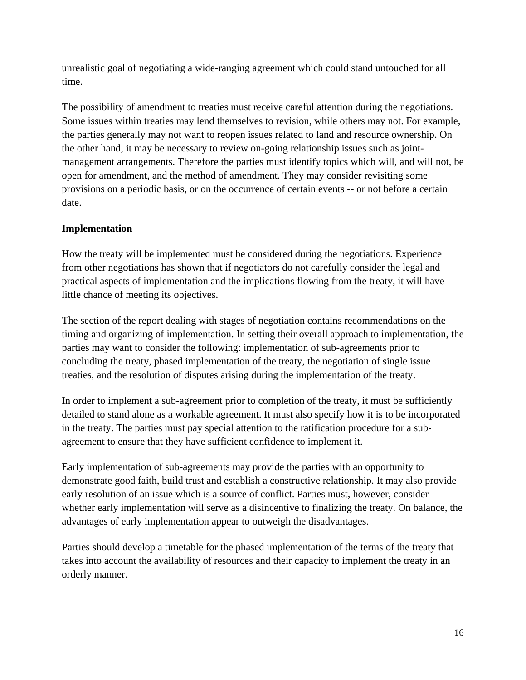unrealistic goal of negotiating a wide-ranging agreement which could stand untouched for all time.

The possibility of amendment to treaties must receive careful attention during the negotiations. Some issues within treaties may lend themselves to revision, while others may not. For example, the parties generally may not want to reopen issues related to land and resource ownership. On the other hand, it may be necessary to review on-going relationship issues such as jointmanagement arrangements. Therefore the parties must identify topics which will, and will not, be open for amendment, and the method of amendment. They may consider revisiting some provisions on a periodic basis, or on the occurrence of certain events -- or not before a certain date.

## **Implementation**

How the treaty will be implemented must be considered during the negotiations. Experience from other negotiations has shown that if negotiators do not carefully consider the legal and practical aspects of implementation and the implications flowing from the treaty, it will have little chance of meeting its objectives.

The section of the report dealing with stages of negotiation contains recommendations on the timing and organizing of implementation. In setting their overall approach to implementation, the parties may want to consider the following: implementation of sub-agreements prior to concluding the treaty, phased implementation of the treaty, the negotiation of single issue treaties, and the resolution of disputes arising during the implementation of the treaty.

In order to implement a sub-agreement prior to completion of the treaty, it must be sufficiently detailed to stand alone as a workable agreement. It must also specify how it is to be incorporated in the treaty. The parties must pay special attention to the ratification procedure for a subagreement to ensure that they have sufficient confidence to implement it.

Early implementation of sub-agreements may provide the parties with an opportunity to demonstrate good faith, build trust and establish a constructive relationship. It may also provide early resolution of an issue which is a source of conflict. Parties must, however, consider whether early implementation will serve as a disincentive to finalizing the treaty. On balance, the advantages of early implementation appear to outweigh the disadvantages.

Parties should develop a timetable for the phased implementation of the terms of the treaty that takes into account the availability of resources and their capacity to implement the treaty in an orderly manner.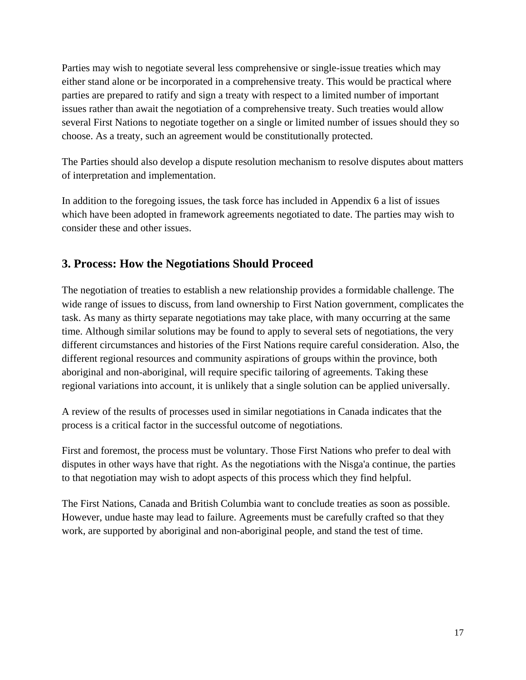Parties may wish to negotiate several less comprehensive or single-issue treaties which may either stand alone or be incorporated in a comprehensive treaty. This would be practical where parties are prepared to ratify and sign a treaty with respect to a limited number of important issues rather than await the negotiation of a comprehensive treaty. Such treaties would allow several First Nations to negotiate together on a single or limited number of issues should they so choose. As a treaty, such an agreement would be constitutionally protected.

The Parties should also develop a dispute resolution mechanism to resolve disputes about matters of interpretation and implementation.

In addition to the foregoing issues, the task force has included in Appendix 6 a list of issues which have been adopted in framework agreements negotiated to date. The parties may wish to consider these and other issues.

# **3. Process: How the Negotiations Should Proceed**

The negotiation of treaties to establish a new relationship provides a formidable challenge. The wide range of issues to discuss, from land ownership to First Nation government, complicates the task. As many as thirty separate negotiations may take place, with many occurring at the same time. Although similar solutions may be found to apply to several sets of negotiations, the very different circumstances and histories of the First Nations require careful consideration. Also, the different regional resources and community aspirations of groups within the province, both aboriginal and non-aboriginal, will require specific tailoring of agreements. Taking these regional variations into account, it is unlikely that a single solution can be applied universally.

A review of the results of processes used in similar negotiations in Canada indicates that the process is a critical factor in the successful outcome of negotiations.

First and foremost, the process must be voluntary. Those First Nations who prefer to deal with disputes in other ways have that right. As the negotiations with the Nisga'a continue, the parties to that negotiation may wish to adopt aspects of this process which they find helpful.

The First Nations, Canada and British Columbia want to conclude treaties as soon as possible. However, undue haste may lead to failure. Agreements must be carefully crafted so that they work, are supported by aboriginal and non-aboriginal people, and stand the test of time.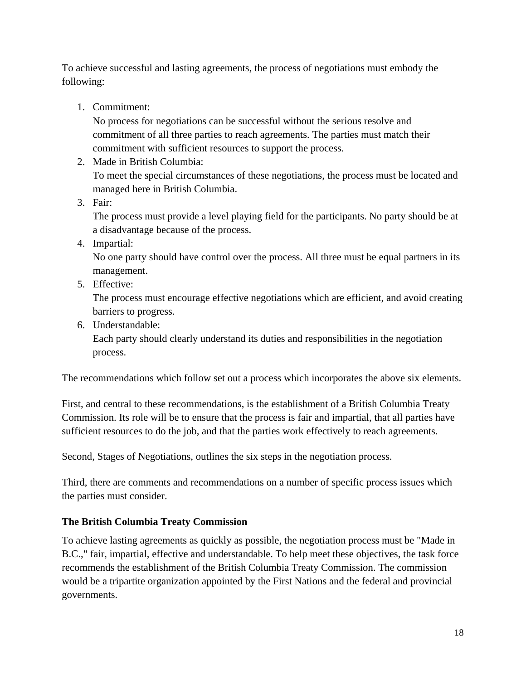To achieve successful and lasting agreements, the process of negotiations must embody the following:

1. Commitment:

No process for negotiations can be successful without the serious resolve and commitment of all three parties to reach agreements. The parties must match their commitment with sufficient resources to support the process.

2. Made in British Columbia:

To meet the special circumstances of these negotiations, the process must be located and managed here in British Columbia.

3. Fair:

The process must provide a level playing field for the participants. No party should be at a disadvantage because of the process.

4. Impartial:

No one party should have control over the process. All three must be equal partners in its management.

5. Effective:

The process must encourage effective negotiations which are efficient, and avoid creating barriers to progress.

6. Understandable:

Each party should clearly understand its duties and responsibilities in the negotiation process.

The recommendations which follow set out a process which incorporates the above six elements.

First, and central to these recommendations, is the establishment of a British Columbia Treaty Commission. Its role will be to ensure that the process is fair and impartial, that all parties have sufficient resources to do the job, and that the parties work effectively to reach agreements.

Second, Stages of Negotiations, outlines the six steps in the negotiation process.

Third, there are comments and recommendations on a number of specific process issues which the parties must consider.

# **The British Columbia Treaty Commission**

To achieve lasting agreements as quickly as possible, the negotiation process must be "Made in B.C.," fair, impartial, effective and understandable. To help meet these objectives, the task force recommends the establishment of the British Columbia Treaty Commission. The commission would be a tripartite organization appointed by the First Nations and the federal and provincial governments.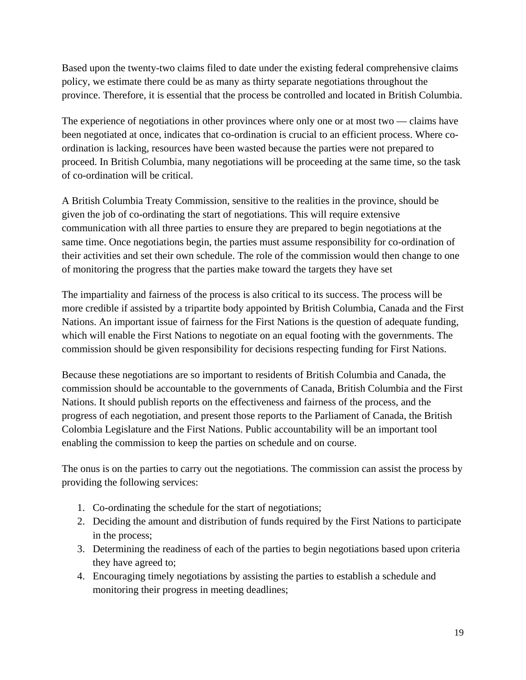Based upon the twenty-two claims filed to date under the existing federal comprehensive claims policy, we estimate there could be as many as thirty separate negotiations throughout the province. Therefore, it is essential that the process be controlled and located in British Columbia.

The experience of negotiations in other provinces where only one or at most two — claims have been negotiated at once, indicates that co-ordination is crucial to an efficient process. Where coordination is lacking, resources have been wasted because the parties were not prepared to proceed. In British Columbia, many negotiations will be proceeding at the same time, so the task of co-ordination will be critical.

A British Columbia Treaty Commission, sensitive to the realities in the province, should be given the job of co-ordinating the start of negotiations. This will require extensive communication with all three parties to ensure they are prepared to begin negotiations at the same time. Once negotiations begin, the parties must assume responsibility for co-ordination of their activities and set their own schedule. The role of the commission would then change to one of monitoring the progress that the parties make toward the targets they have set

The impartiality and fairness of the process is also critical to its success. The process will be more credible if assisted by a tripartite body appointed by British Columbia, Canada and the First Nations. An important issue of fairness for the First Nations is the question of adequate funding, which will enable the First Nations to negotiate on an equal footing with the governments. The commission should be given responsibility for decisions respecting funding for First Nations.

Because these negotiations are so important to residents of British Columbia and Canada, the commission should be accountable to the governments of Canada, British Columbia and the First Nations. It should publish reports on the effectiveness and fairness of the process, and the progress of each negotiation, and present those reports to the Parliament of Canada, the British Colombia Legislature and the First Nations. Public accountability will be an important tool enabling the commission to keep the parties on schedule and on course.

The onus is on the parties to carry out the negotiations. The commission can assist the process by providing the following services:

- 1. Co-ordinating the schedule for the start of negotiations;
- 2. Deciding the amount and distribution of funds required by the First Nations to participate in the process;
- 3. Determining the readiness of each of the parties to begin negotiations based upon criteria they have agreed to;
- 4. Encouraging timely negotiations by assisting the parties to establish a schedule and monitoring their progress in meeting deadlines;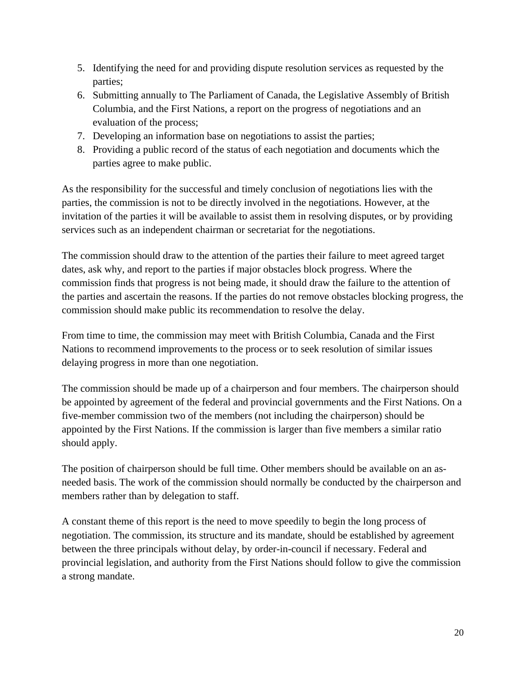- 5. Identifying the need for and providing dispute resolution services as requested by the parties;
- 6. Submitting annually to The Parliament of Canada, the Legislative Assembly of British Columbia, and the First Nations, a report on the progress of negotiations and an evaluation of the process;
- 7. Developing an information base on negotiations to assist the parties;
- 8. Providing a public record of the status of each negotiation and documents which the parties agree to make public.

As the responsibility for the successful and timely conclusion of negotiations lies with the parties, the commission is not to be directly involved in the negotiations. However, at the invitation of the parties it will be available to assist them in resolving disputes, or by providing services such as an independent chairman or secretariat for the negotiations.

The commission should draw to the attention of the parties their failure to meet agreed target dates, ask why, and report to the parties if major obstacles block progress. Where the commission finds that progress is not being made, it should draw the failure to the attention of the parties and ascertain the reasons. If the parties do not remove obstacles blocking progress, the commission should make public its recommendation to resolve the delay.

From time to time, the commission may meet with British Columbia, Canada and the First Nations to recommend improvements to the process or to seek resolution of similar issues delaying progress in more than one negotiation.

The commission should be made up of a chairperson and four members. The chairperson should be appointed by agreement of the federal and provincial governments and the First Nations. On a five-member commission two of the members (not including the chairperson) should be appointed by the First Nations. If the commission is larger than five members a similar ratio should apply.

The position of chairperson should be full time. Other members should be available on an asneeded basis. The work of the commission should normally be conducted by the chairperson and members rather than by delegation to staff.

A constant theme of this report is the need to move speedily to begin the long process of negotiation. The commission, its structure and its mandate, should be established by agreement between the three principals without delay, by order-in-council if necessary. Federal and provincial legislation, and authority from the First Nations should follow to give the commission a strong mandate.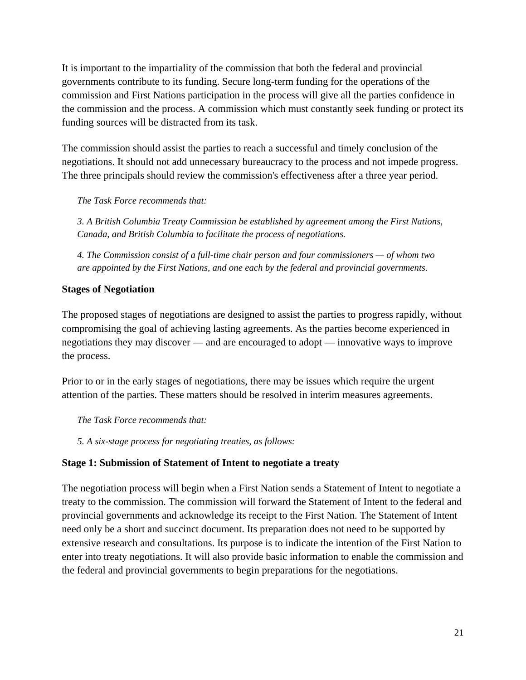It is important to the impartiality of the commission that both the federal and provincial governments contribute to its funding. Secure long-term funding for the operations of the commission and First Nations participation in the process will give all the parties confidence in the commission and the process. A commission which must constantly seek funding or protect its funding sources will be distracted from its task.

The commission should assist the parties to reach a successful and timely conclusion of the negotiations. It should not add unnecessary bureaucracy to the process and not impede progress. The three principals should review the commission's effectiveness after a three year period.

*The Task Force recommends that:* 

*3. A British Columbia Treaty Commission be established by agreement among the First Nations, Canada, and British Columbia to facilitate the process of negotiations.* 

*4. The Commission consist of a full-time chair person and four commissioners — of whom two are appointed by the First Nations, and one each by the federal and provincial governments.* 

## **Stages of Negotiation**

The proposed stages of negotiations are designed to assist the parties to progress rapidly, without compromising the goal of achieving lasting agreements. As the parties become experienced in negotiations they may discover — and are encouraged to adopt — innovative ways to improve the process.

Prior to or in the early stages of negotiations, there may be issues which require the urgent attention of the parties. These matters should be resolved in interim measures agreements.

*The Task Force recommends that:* 

*5. A six-stage process for negotiating treaties, as follows:* 

## **Stage 1: Submission of Statement of Intent to negotiate a treaty**

The negotiation process will begin when a First Nation sends a Statement of Intent to negotiate a treaty to the commission. The commission will forward the Statement of Intent to the federal and provincial governments and acknowledge its receipt to the First Nation. The Statement of Intent need only be a short and succinct document. Its preparation does not need to be supported by extensive research and consultations. Its purpose is to indicate the intention of the First Nation to enter into treaty negotiations. It will also provide basic information to enable the commission and the federal and provincial governments to begin preparations for the negotiations.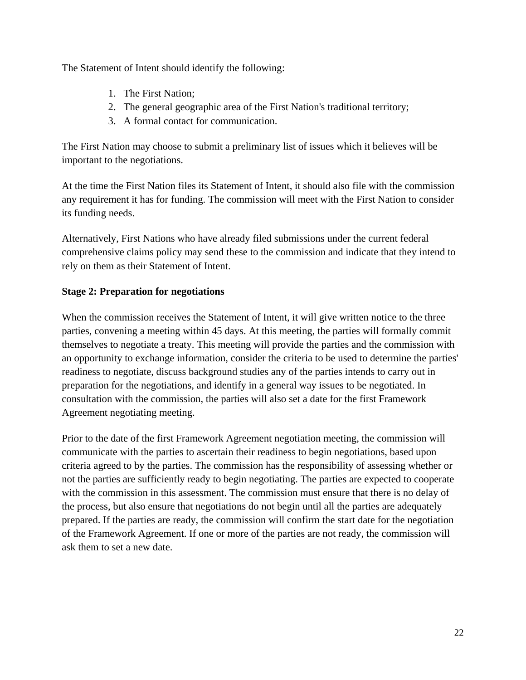The Statement of Intent should identify the following:

- 1. The First Nation;
- 2. The general geographic area of the First Nation's traditional territory;
- 3. A formal contact for communication.

The First Nation may choose to submit a preliminary list of issues which it believes will be important to the negotiations.

At the time the First Nation files its Statement of Intent, it should also file with the commission any requirement it has for funding. The commission will meet with the First Nation to consider its funding needs.

Alternatively, First Nations who have already filed submissions under the current federal comprehensive claims policy may send these to the commission and indicate that they intend to rely on them as their Statement of Intent.

## **Stage 2: Preparation for negotiations**

When the commission receives the Statement of Intent, it will give written notice to the three parties, convening a meeting within 45 days. At this meeting, the parties will formally commit themselves to negotiate a treaty. This meeting will provide the parties and the commission with an opportunity to exchange information, consider the criteria to be used to determine the parties' readiness to negotiate, discuss background studies any of the parties intends to carry out in preparation for the negotiations, and identify in a general way issues to be negotiated. In consultation with the commission, the parties will also set a date for the first Framework Agreement negotiating meeting.

Prior to the date of the first Framework Agreement negotiation meeting, the commission will communicate with the parties to ascertain their readiness to begin negotiations, based upon criteria agreed to by the parties. The commission has the responsibility of assessing whether or not the parties are sufficiently ready to begin negotiating. The parties are expected to cooperate with the commission in this assessment. The commission must ensure that there is no delay of the process, but also ensure that negotiations do not begin until all the parties are adequately prepared. If the parties are ready, the commission will confirm the start date for the negotiation of the Framework Agreement. If one or more of the parties are not ready, the commission will ask them to set a new date.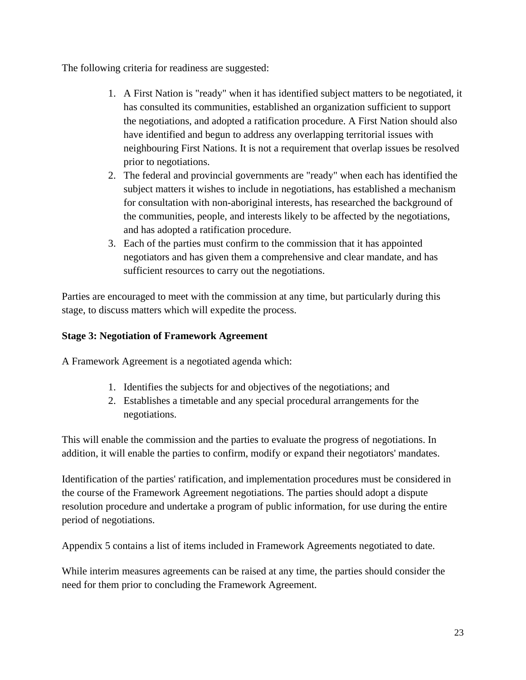The following criteria for readiness are suggested:

- 1. A First Nation is "ready" when it has identified subject matters to be negotiated, it has consulted its communities, established an organization sufficient to support the negotiations, and adopted a ratification procedure. A First Nation should also have identified and begun to address any overlapping territorial issues with neighbouring First Nations. It is not a requirement that overlap issues be resolved prior to negotiations.
- 2. The federal and provincial governments are "ready" when each has identified the subject matters it wishes to include in negotiations, has established a mechanism for consultation with non-aboriginal interests, has researched the background of the communities, people, and interests likely to be affected by the negotiations, and has adopted a ratification procedure.
- 3. Each of the parties must confirm to the commission that it has appointed negotiators and has given them a comprehensive and clear mandate, and has sufficient resources to carry out the negotiations.

Parties are encouraged to meet with the commission at any time, but particularly during this stage, to discuss matters which will expedite the process.

## **Stage 3: Negotiation of Framework Agreement**

A Framework Agreement is a negotiated agenda which:

- 1. Identifies the subjects for and objectives of the negotiations; and
- 2. Establishes a timetable and any special procedural arrangements for the negotiations.

This will enable the commission and the parties to evaluate the progress of negotiations. In addition, it will enable the parties to confirm, modify or expand their negotiators' mandates.

Identification of the parties' ratification, and implementation procedures must be considered in the course of the Framework Agreement negotiations. The parties should adopt a dispute resolution procedure and undertake a program of public information, for use during the entire period of negotiations.

Appendix 5 contains a list of items included in Framework Agreements negotiated to date.

While interim measures agreements can be raised at any time, the parties should consider the need for them prior to concluding the Framework Agreement.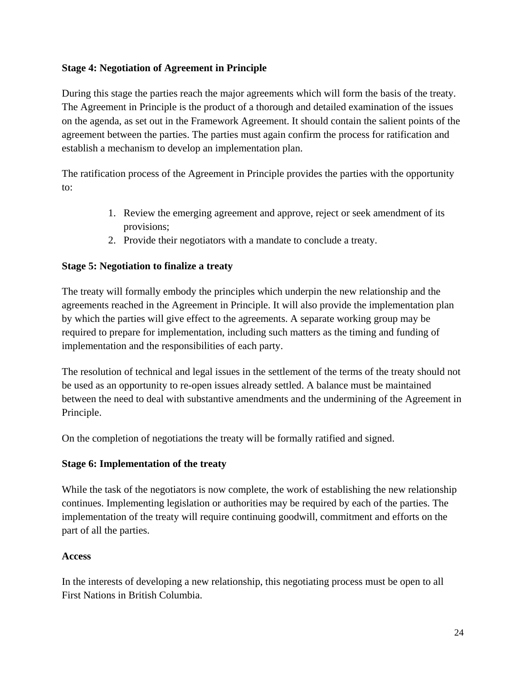## **Stage 4: Negotiation of Agreement in Principle**

During this stage the parties reach the major agreements which will form the basis of the treaty. The Agreement in Principle is the product of a thorough and detailed examination of the issues on the agenda, as set out in the Framework Agreement. It should contain the salient points of the agreement between the parties. The parties must again confirm the process for ratification and establish a mechanism to develop an implementation plan.

The ratification process of the Agreement in Principle provides the parties with the opportunity to:

- 1. Review the emerging agreement and approve, reject or seek amendment of its provisions;
- 2. Provide their negotiators with a mandate to conclude a treaty.

## **Stage 5: Negotiation to finalize a treaty**

The treaty will formally embody the principles which underpin the new relationship and the agreements reached in the Agreement in Principle. It will also provide the implementation plan by which the parties will give effect to the agreements. A separate working group may be required to prepare for implementation, including such matters as the timing and funding of implementation and the responsibilities of each party.

The resolution of technical and legal issues in the settlement of the terms of the treaty should not be used as an opportunity to re-open issues already settled. A balance must be maintained between the need to deal with substantive amendments and the undermining of the Agreement in Principle.

On the completion of negotiations the treaty will be formally ratified and signed.

#### **Stage 6: Implementation of the treaty**

While the task of the negotiators is now complete, the work of establishing the new relationship continues. Implementing legislation or authorities may be required by each of the parties. The implementation of the treaty will require continuing goodwill, commitment and efforts on the part of all the parties.

#### **Access**

In the interests of developing a new relationship, this negotiating process must be open to all First Nations in British Columbia.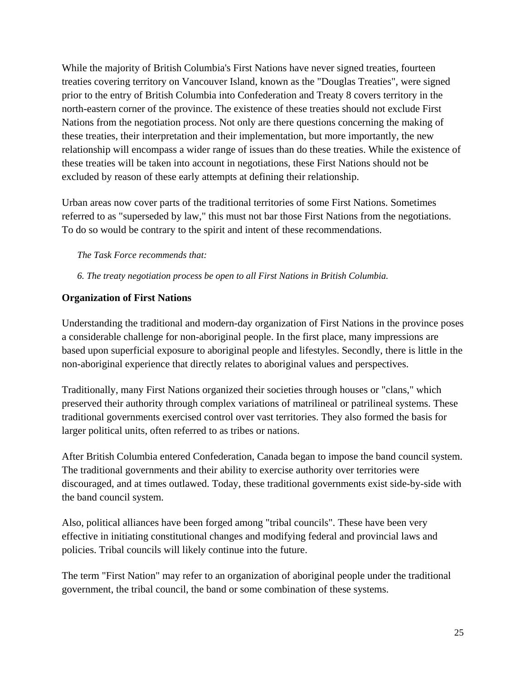While the majority of British Columbia's First Nations have never signed treaties, fourteen treaties covering territory on Vancouver Island, known as the "Douglas Treaties", were signed prior to the entry of British Columbia into Confederation and Treaty 8 covers territory in the north-eastern corner of the province. The existence of these treaties should not exclude First Nations from the negotiation process. Not only are there questions concerning the making of these treaties, their interpretation and their implementation, but more importantly, the new relationship will encompass a wider range of issues than do these treaties. While the existence of these treaties will be taken into account in negotiations, these First Nations should not be excluded by reason of these early attempts at defining their relationship.

Urban areas now cover parts of the traditional territories of some First Nations. Sometimes referred to as "superseded by law," this must not bar those First Nations from the negotiations. To do so would be contrary to the spirit and intent of these recommendations.

#### *The Task Force recommends that:*

*6. The treaty negotiation process be open to all First Nations in British Columbia.* 

#### **Organization of First Nations**

Understanding the traditional and modern-day organization of First Nations in the province poses a considerable challenge for non-aboriginal people. In the first place, many impressions are based upon superficial exposure to aboriginal people and lifestyles. Secondly, there is little in the non-aboriginal experience that directly relates to aboriginal values and perspectives.

Traditionally, many First Nations organized their societies through houses or "clans," which preserved their authority through complex variations of matrilineal or patrilineal systems. These traditional governments exercised control over vast territories. They also formed the basis for larger political units, often referred to as tribes or nations.

After British Columbia entered Confederation, Canada began to impose the band council system. The traditional governments and their ability to exercise authority over territories were discouraged, and at times outlawed. Today, these traditional governments exist side-by-side with the band council system.

Also, political alliances have been forged among "tribal councils". These have been very effective in initiating constitutional changes and modifying federal and provincial laws and policies. Tribal councils will likely continue into the future.

The term "First Nation" may refer to an organization of aboriginal people under the traditional government, the tribal council, the band or some combination of these systems.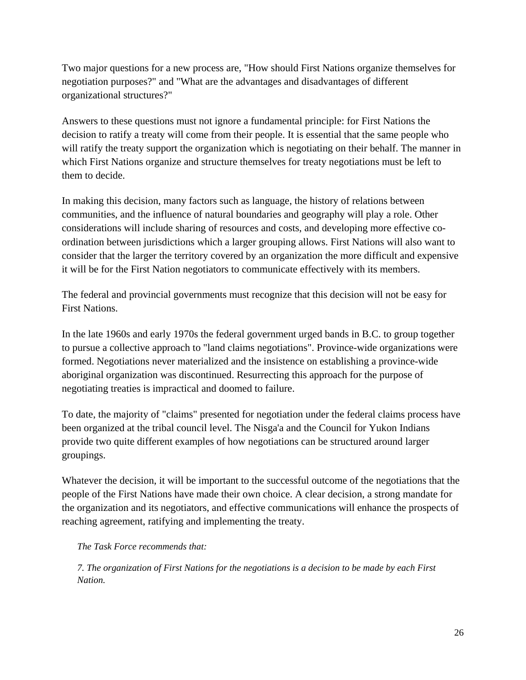Two major questions for a new process are, "How should First Nations organize themselves for negotiation purposes?" and "What are the advantages and disadvantages of different organizational structures?"

Answers to these questions must not ignore a fundamental principle: for First Nations the decision to ratify a treaty will come from their people. It is essential that the same people who will ratify the treaty support the organization which is negotiating on their behalf. The manner in which First Nations organize and structure themselves for treaty negotiations must be left to them to decide.

In making this decision, many factors such as language, the history of relations between communities, and the influence of natural boundaries and geography will play a role. Other considerations will include sharing of resources and costs, and developing more effective coordination between jurisdictions which a larger grouping allows. First Nations will also want to consider that the larger the territory covered by an organization the more difficult and expensive it will be for the First Nation negotiators to communicate effectively with its members.

The federal and provincial governments must recognize that this decision will not be easy for First Nations.

In the late 1960s and early 1970s the federal government urged bands in B.C. to group together to pursue a collective approach to "land claims negotiations". Province-wide organizations were formed. Negotiations never materialized and the insistence on establishing a province-wide aboriginal organization was discontinued. Resurrecting this approach for the purpose of negotiating treaties is impractical and doomed to failure.

To date, the majority of "claims" presented for negotiation under the federal claims process have been organized at the tribal council level. The Nisga'a and the Council for Yukon Indians provide two quite different examples of how negotiations can be structured around larger groupings.

Whatever the decision, it will be important to the successful outcome of the negotiations that the people of the First Nations have made their own choice. A clear decision, a strong mandate for the organization and its negotiators, and effective communications will enhance the prospects of reaching agreement, ratifying and implementing the treaty.

#### *The Task Force recommends that:*

*7. The organization of First Nations for the negotiations is a decision to be made by each First Nation.*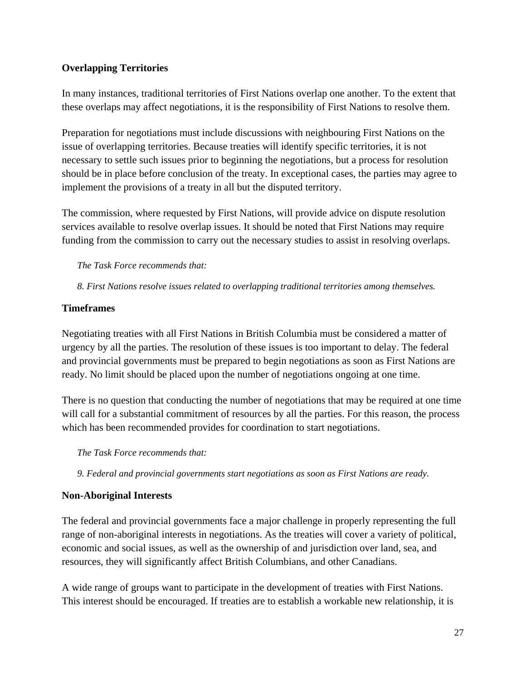## **Overlapping Territories**

In many instances, traditional territories of First Nations overlap one another. To the extent that these overlaps may affect negotiations, it is the responsibility of First Nations to resolve them.

Preparation for negotiations must include discussions with neighbouring First Nations on the issue of overlapping territories. Because treaties will identify specific territories, it is not necessary to settle such issues prior to beginning the negotiations, but a process for resolution should be in place before conclusion of the treaty. In exceptional cases, the parties may agree to implement the provisions of a treaty in all but the disputed territory.

The commission, where requested by First Nations, will provide advice on dispute resolution services available to resolve overlap issues. It should be noted that First Nations may require funding from the commission to carry out the necessary studies to assist in resolving overlaps.

#### *The Task Force recommends that:*

*8. First Nations resolve issues related to overlapping traditional territories among themselves.* 

#### **Timeframes**

Negotiating treaties with all First Nations in British Columbia must be considered a matter of urgency by all the parties. The resolution of these issues is too important to delay. The federal and provincial governments must be prepared to begin negotiations as soon as First Nations are ready. No limit should be placed upon the number of negotiations ongoing at one time.

There is no question that conducting the number of negotiations that may be required at one time will call for a substantial commitment of resources by all the parties. For this reason, the process which has been recommended provides for coordination to start negotiations.

*The Task Force recommends that:* 

*9. Federal and provincial governments start negotiations as soon as First Nations are ready.* 

## **Non-Aboriginal Interests**

The federal and provincial governments face a major challenge in properly representing the full range of non-aboriginal interests in negotiations. As the treaties will cover a variety of political, economic and social issues, as well as the ownership of and jurisdiction over land, sea, and resources, they will significantly affect British Columbians, and other Canadians.

A wide range of groups want to participate in the development of treaties with First Nations. This interest should be encouraged. If treaties are to establish a workable new relationship, it is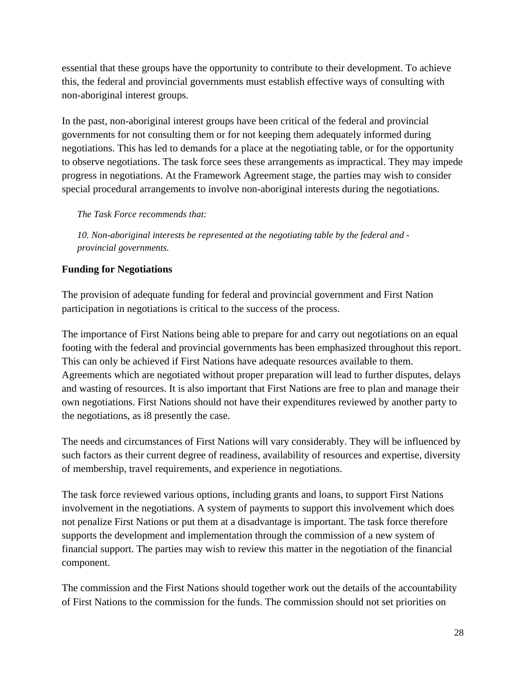essential that these groups have the opportunity to contribute to their development. To achieve this, the federal and provincial governments must establish effective ways of consulting with non-aboriginal interest groups.

In the past, non-aboriginal interest groups have been critical of the federal and provincial governments for not consulting them or for not keeping them adequately informed during negotiations. This has led to demands for a place at the negotiating table, or for the opportunity to observe negotiations. The task force sees these arrangements as impractical. They may impede progress in negotiations. At the Framework Agreement stage, the parties may wish to consider special procedural arrangements to involve non-aboriginal interests during the negotiations.

*The Task Force recommends that:* 

*10. Non-aboriginal interests be represented at the negotiating table by the federal and provincial governments.* 

## **Funding for Negotiations**

The provision of adequate funding for federal and provincial government and First Nation participation in negotiations is critical to the success of the process.

The importance of First Nations being able to prepare for and carry out negotiations on an equal footing with the federal and provincial governments has been emphasized throughout this report. This can only be achieved if First Nations have adequate resources available to them. Agreements which are negotiated without proper preparation will lead to further disputes, delays and wasting of resources. It is also important that First Nations are free to plan and manage their own negotiations. First Nations should not have their expenditures reviewed by another party to the negotiations, as i8 presently the case.

The needs and circumstances of First Nations will vary considerably. They will be influenced by such factors as their current degree of readiness, availability of resources and expertise, diversity of membership, travel requirements, and experience in negotiations.

The task force reviewed various options, including grants and loans, to support First Nations involvement in the negotiations. A system of payments to support this involvement which does not penalize First Nations or put them at a disadvantage is important. The task force therefore supports the development and implementation through the commission of a new system of financial support. The parties may wish to review this matter in the negotiation of the financial component.

The commission and the First Nations should together work out the details of the accountability of First Nations to the commission for the funds. The commission should not set priorities on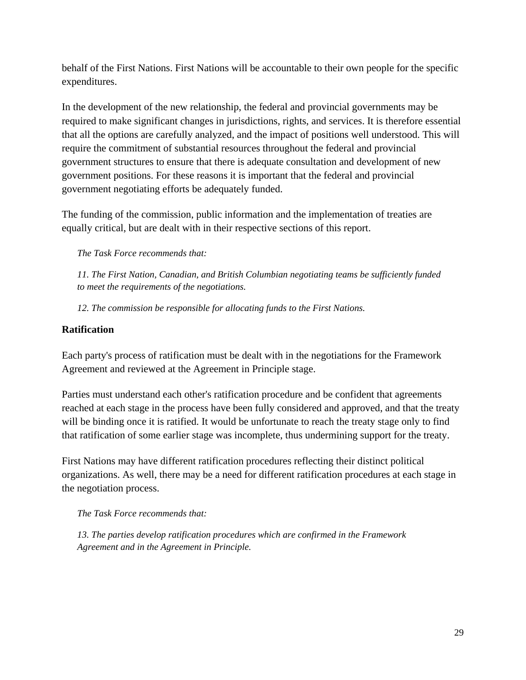behalf of the First Nations. First Nations will be accountable to their own people for the specific expenditures.

In the development of the new relationship, the federal and provincial governments may be required to make significant changes in jurisdictions, rights, and services. It is therefore essential that all the options are carefully analyzed, and the impact of positions well understood. This will require the commitment of substantial resources throughout the federal and provincial government structures to ensure that there is adequate consultation and development of new government positions. For these reasons it is important that the federal and provincial government negotiating efforts be adequately funded.

The funding of the commission, public information and the implementation of treaties are equally critical, but are dealt with in their respective sections of this report.

*The Task Force recommends that:* 

*11. The First Nation, Canadian, and British Columbian negotiating teams be sufficiently funded to meet the requirements of the negotiations.* 

*12. The commission be responsible for allocating funds to the First Nations.* 

#### **Ratification**

Each party's process of ratification must be dealt with in the negotiations for the Framework Agreement and reviewed at the Agreement in Principle stage.

Parties must understand each other's ratification procedure and be confident that agreements reached at each stage in the process have been fully considered and approved, and that the treaty will be binding once it is ratified. It would be unfortunate to reach the treaty stage only to find that ratification of some earlier stage was incomplete, thus undermining support for the treaty.

First Nations may have different ratification procedures reflecting their distinct political organizations. As well, there may be a need for different ratification procedures at each stage in the negotiation process.

*The Task Force recommends that:* 

*13. The parties develop ratification procedures which are confirmed in the Framework Agreement and in the Agreement in Principle.*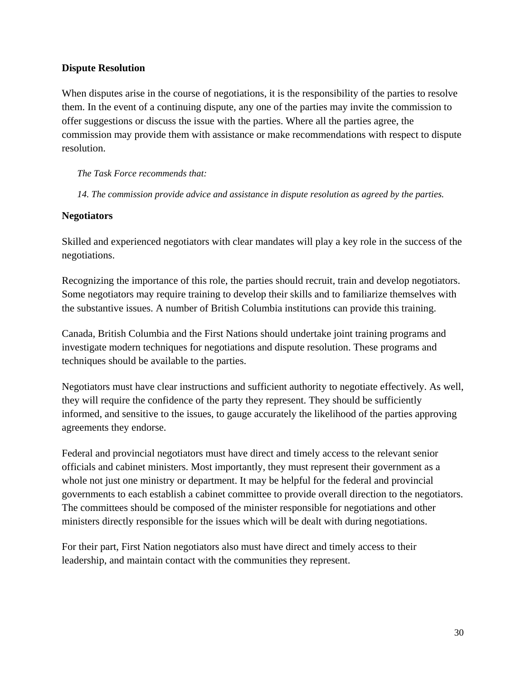#### **Dispute Resolution**

When disputes arise in the course of negotiations, it is the responsibility of the parties to resolve them. In the event of a continuing dispute, any one of the parties may invite the commission to offer suggestions or discuss the issue with the parties. Where all the parties agree, the commission may provide them with assistance or make recommendations with respect to dispute resolution.

*The Task Force recommends that:* 

*14. The commission provide advice and assistance in dispute resolution as agreed by the parties.* 

#### **Negotiators**

Skilled and experienced negotiators with clear mandates will play a key role in the success of the negotiations.

Recognizing the importance of this role, the parties should recruit, train and develop negotiators. Some negotiators may require training to develop their skills and to familiarize themselves with the substantive issues. A number of British Columbia institutions can provide this training.

Canada, British Columbia and the First Nations should undertake joint training programs and investigate modern techniques for negotiations and dispute resolution. These programs and techniques should be available to the parties.

Negotiators must have clear instructions and sufficient authority to negotiate effectively. As well, they will require the confidence of the party they represent. They should be sufficiently informed, and sensitive to the issues, to gauge accurately the likelihood of the parties approving agreements they endorse.

Federal and provincial negotiators must have direct and timely access to the relevant senior officials and cabinet ministers. Most importantly, they must represent their government as a whole not just one ministry or department. It may be helpful for the federal and provincial governments to each establish a cabinet committee to provide overall direction to the negotiators. The committees should be composed of the minister responsible for negotiations and other ministers directly responsible for the issues which will be dealt with during negotiations.

For their part, First Nation negotiators also must have direct and timely access to their leadership, and maintain contact with the communities they represent.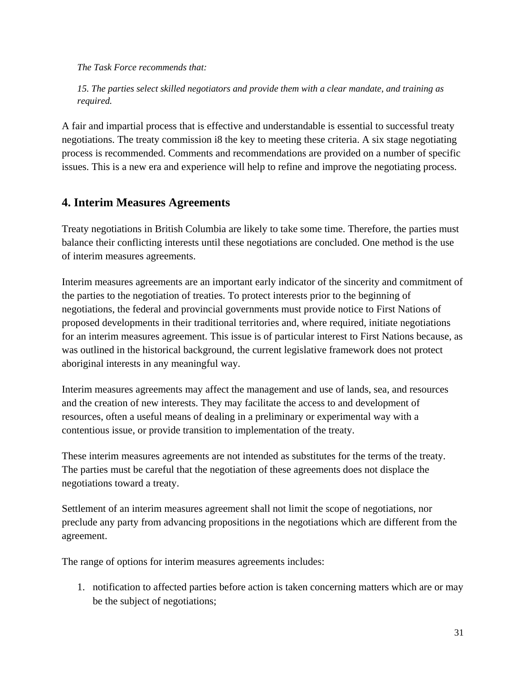*The Task Force recommends that:* 

*15. The parties select skilled negotiators and provide them with a clear mandate, and training as required.* 

A fair and impartial process that is effective and understandable is essential to successful treaty negotiations. The treaty commission i8 the key to meeting these criteria. A six stage negotiating process is recommended. Comments and recommendations are provided on a number of specific issues. This is a new era and experience will help to refine and improve the negotiating process.

# **4. Interim Measures Agreements**

Treaty negotiations in British Columbia are likely to take some time. Therefore, the parties must balance their conflicting interests until these negotiations are concluded. One method is the use of interim measures agreements.

Interim measures agreements are an important early indicator of the sincerity and commitment of the parties to the negotiation of treaties. To protect interests prior to the beginning of negotiations, the federal and provincial governments must provide notice to First Nations of proposed developments in their traditional territories and, where required, initiate negotiations for an interim measures agreement. This issue is of particular interest to First Nations because, as was outlined in the historical background, the current legislative framework does not protect aboriginal interests in any meaningful way.

Interim measures agreements may affect the management and use of lands, sea, and resources and the creation of new interests. They may facilitate the access to and development of resources, often a useful means of dealing in a preliminary or experimental way with a contentious issue, or provide transition to implementation of the treaty.

These interim measures agreements are not intended as substitutes for the terms of the treaty. The parties must be careful that the negotiation of these agreements does not displace the negotiations toward a treaty.

Settlement of an interim measures agreement shall not limit the scope of negotiations, nor preclude any party from advancing propositions in the negotiations which are different from the agreement.

The range of options for interim measures agreements includes:

1. notification to affected parties before action is taken concerning matters which are or may be the subject of negotiations;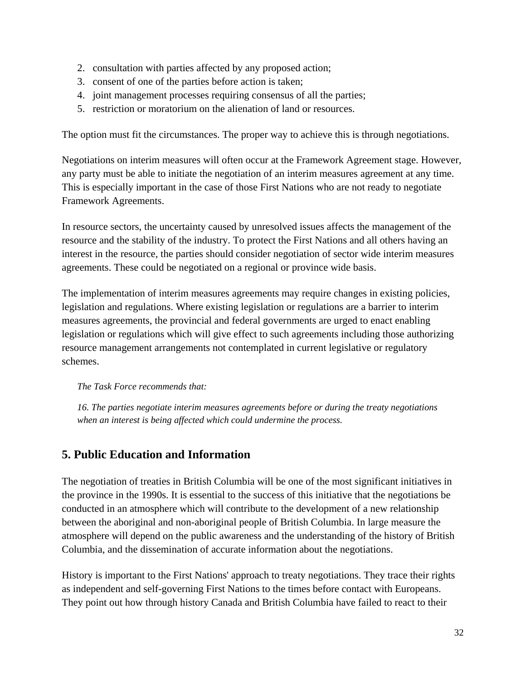- 2. consultation with parties affected by any proposed action;
- 3. consent of one of the parties before action is taken;
- 4. joint management processes requiring consensus of all the parties;
- 5. restriction or moratorium on the alienation of land or resources.

The option must fit the circumstances. The proper way to achieve this is through negotiations.

Negotiations on interim measures will often occur at the Framework Agreement stage. However, any party must be able to initiate the negotiation of an interim measures agreement at any time. This is especially important in the case of those First Nations who are not ready to negotiate Framework Agreements.

In resource sectors, the uncertainty caused by unresolved issues affects the management of the resource and the stability of the industry. To protect the First Nations and all others having an interest in the resource, the parties should consider negotiation of sector wide interim measures agreements. These could be negotiated on a regional or province wide basis.

The implementation of interim measures agreements may require changes in existing policies, legislation and regulations. Where existing legislation or regulations are a barrier to interim measures agreements, the provincial and federal governments are urged to enact enabling legislation or regulations which will give effect to such agreements including those authorizing resource management arrangements not contemplated in current legislative or regulatory schemes.

*The Task Force recommends that:* 

*16. The parties negotiate interim measures agreements before or during the treaty negotiations when an interest is being affected which could undermine the process.* 

# **5. Public Education and Information**

The negotiation of treaties in British Columbia will be one of the most significant initiatives in the province in the 1990s. It is essential to the success of this initiative that the negotiations be conducted in an atmosphere which will contribute to the development of a new relationship between the aboriginal and non-aboriginal people of British Columbia. In large measure the atmosphere will depend on the public awareness and the understanding of the history of British Columbia, and the dissemination of accurate information about the negotiations.

History is important to the First Nations' approach to treaty negotiations. They trace their rights as independent and self-governing First Nations to the times before contact with Europeans. They point out how through history Canada and British Columbia have failed to react to their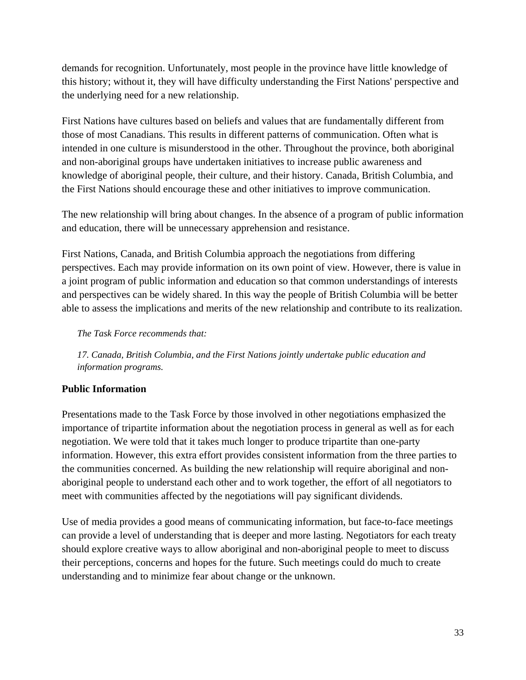demands for recognition. Unfortunately, most people in the province have little knowledge of this history; without it, they will have difficulty understanding the First Nations' perspective and the underlying need for a new relationship.

First Nations have cultures based on beliefs and values that are fundamentally different from those of most Canadians. This results in different patterns of communication. Often what is intended in one culture is misunderstood in the other. Throughout the province, both aboriginal and non-aboriginal groups have undertaken initiatives to increase public awareness and knowledge of aboriginal people, their culture, and their history. Canada, British Columbia, and the First Nations should encourage these and other initiatives to improve communication.

The new relationship will bring about changes. In the absence of a program of public information and education, there will be unnecessary apprehension and resistance.

First Nations, Canada, and British Columbia approach the negotiations from differing perspectives. Each may provide information on its own point of view. However, there is value in a joint program of public information and education so that common understandings of interests and perspectives can be widely shared. In this way the people of British Columbia will be better able to assess the implications and merits of the new relationship and contribute to its realization.

*The Task Force recommends that:* 

*17. Canada, British Columbia, and the First Nations jointly undertake public education and information programs.* 

## **Public Information**

Presentations made to the Task Force by those involved in other negotiations emphasized the importance of tripartite information about the negotiation process in general as well as for each negotiation. We were told that it takes much longer to produce tripartite than one-party information. However, this extra effort provides consistent information from the three parties to the communities concerned. As building the new relationship will require aboriginal and nonaboriginal people to understand each other and to work together, the effort of all negotiators to meet with communities affected by the negotiations will pay significant dividends.

Use of media provides a good means of communicating information, but face-to-face meetings can provide a level of understanding that is deeper and more lasting. Negotiators for each treaty should explore creative ways to allow aboriginal and non-aboriginal people to meet to discuss their perceptions, concerns and hopes for the future. Such meetings could do much to create understanding and to minimize fear about change or the unknown.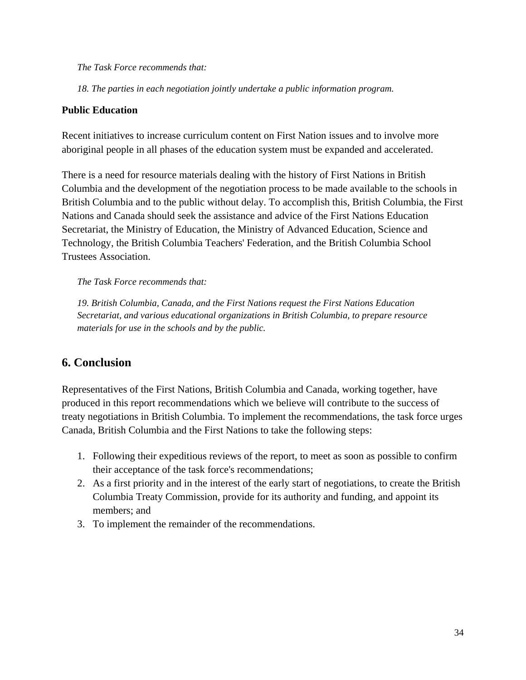#### *The Task Force recommends that:*

*18. The parties in each negotiation jointly undertake a public information program.* 

#### **Public Education**

Recent initiatives to increase curriculum content on First Nation issues and to involve more aboriginal people in all phases of the education system must be expanded and accelerated.

There is a need for resource materials dealing with the history of First Nations in British Columbia and the development of the negotiation process to be made available to the schools in British Columbia and to the public without delay. To accomplish this, British Columbia, the First Nations and Canada should seek the assistance and advice of the First Nations Education Secretariat, the Ministry of Education, the Ministry of Advanced Education, Science and Technology, the British Columbia Teachers' Federation, and the British Columbia School Trustees Association.

#### *The Task Force recommends that:*

*19. British Columbia, Canada, and the First Nations request the First Nations Education Secretariat, and various educational organizations in British Columbia, to prepare resource materials for use in the schools and by the public.* 

# **6. Conclusion**

Representatives of the First Nations, British Columbia and Canada, working together, have produced in this report recommendations which we believe will contribute to the success of treaty negotiations in British Columbia. To implement the recommendations, the task force urges Canada, British Columbia and the First Nations to take the following steps:

- 1. Following their expeditious reviews of the report, to meet as soon as possible to confirm their acceptance of the task force's recommendations;
- 2. As a first priority and in the interest of the early start of negotiations, to create the British Columbia Treaty Commission, provide for its authority and funding, and appoint its members; and
- 3. To implement the remainder of the recommendations.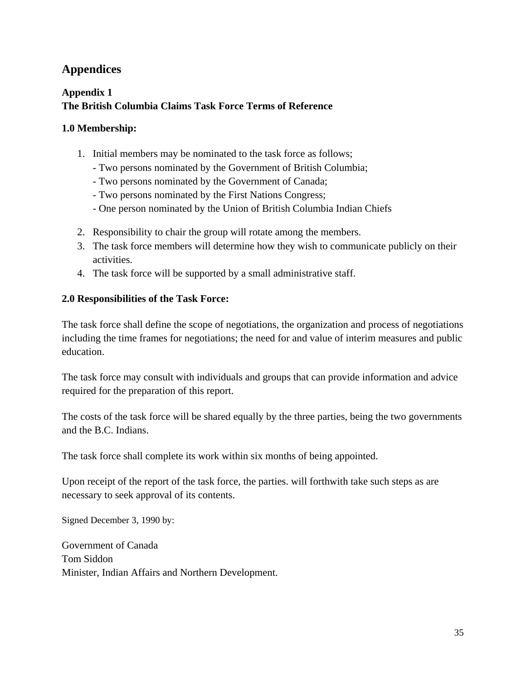# **Appendices**

# **Appendix 1 The British Columbia Claims Task Force Terms of Reference**

## **1.0 Membership:**

- 1. Initial members may be nominated to the task force as follows;
	- Two persons nominated by the Government of British Columbia;
	- Two persons nominated by the Government of Canada;
	- Two persons nominated by the First Nations Congress;
	- One person nominated by the Union of British Columbia Indian Chiefs
- 2. Responsibility to chair the group will rotate among the members.
- 3. The task force members will determine how they wish to communicate publicly on their activities.
- 4. The task force will be supported by a small administrative staff.

## **2.0 Responsibilities of the Task Force:**

The task force shall define the scope of negotiations, the organization and process of negotiations including the time frames for negotiations; the need for and value of interim measures and public education.

The task force may consult with individuals and groups that can provide information and advice required for the preparation of this report.

The costs of the task force will be shared equally by the three parties, being the two governments and the B.C. Indians.

The task force shall complete its work within six months of being appointed.

Upon receipt of the report of the task force, the parties. will forthwith take such steps as are necessary to seek approval of its contents.

Signed December 3, 1990 by:

Government of Canada Tom Siddon Minister, Indian Affairs and Northern Development.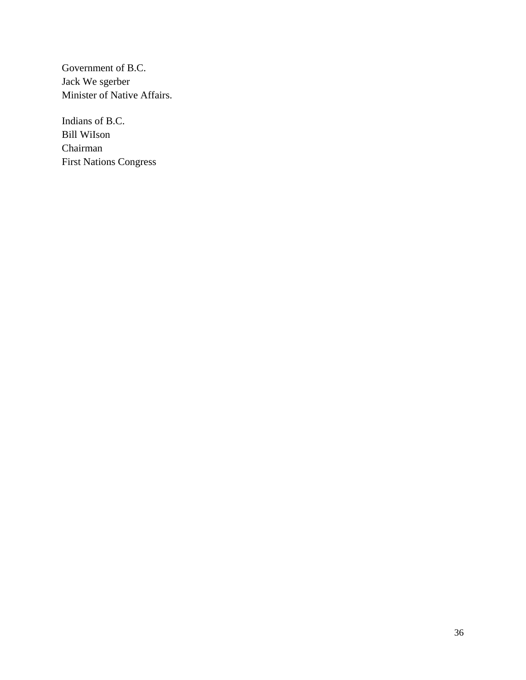Government of B.C. Jack We sgerber Minister of Native Affairs.

Indians of B.C. Bill WiIson Chairman First Nations Congress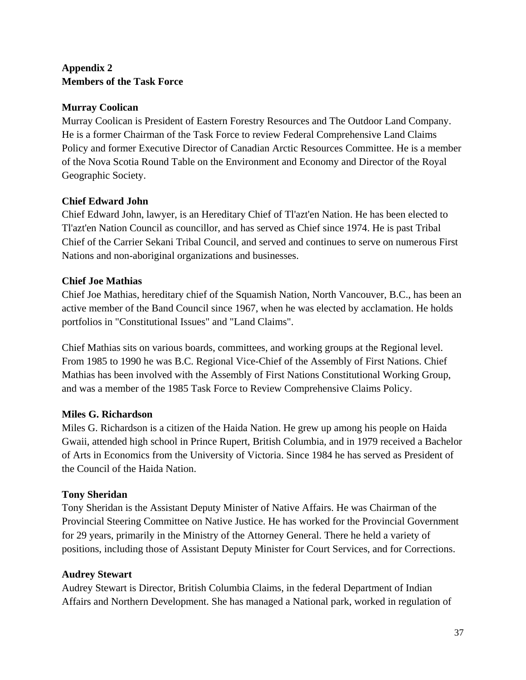## **Appendix 2 Members of the Task Force**

## **Murray Coolican**

Murray Coolican is President of Eastern Forestry Resources and The Outdoor Land Company. He is a former Chairman of the Task Force to review Federal Comprehensive Land Claims Policy and former Executive Director of Canadian Arctic Resources Committee. He is a member of the Nova Scotia Round Table on the Environment and Economy and Director of the Royal Geographic Society.

## **Chief Edward John**

Chief Edward John, lawyer, is an Hereditary Chief of Tl'azt'en Nation. He has been elected to Tl'azt'en Nation Council as councillor, and has served as Chief since 1974. He is past Tribal Chief of the Carrier Sekani Tribal Council, and served and continues to serve on numerous First Nations and non-aboriginal organizations and businesses.

## **Chief Joe Mathias**

Chief Joe Mathias, hereditary chief of the Squamish Nation, North Vancouver, B.C., has been an active member of the Band Council since 1967, when he was elected by acclamation. He holds portfolios in "Constitutional Issues" and "Land Claims".

Chief Mathias sits on various boards, committees, and working groups at the Regional level. From 1985 to 1990 he was B.C. Regional Vice-Chief of the Assembly of First Nations. Chief Mathias has been involved with the Assembly of First Nations Constitutional Working Group, and was a member of the 1985 Task Force to Review Comprehensive Claims Policy.

## **Miles G. Richardson**

Miles G. Richardson is a citizen of the Haida Nation. He grew up among his people on Haida Gwaii, attended high school in Prince Rupert, British Columbia, and in 1979 received a Bachelor of Arts in Economics from the University of Victoria. Since 1984 he has served as President of the Council of the Haida Nation.

## **Tony Sheridan**

Tony Sheridan is the Assistant Deputy Minister of Native Affairs. He was Chairman of the Provincial Steering Committee on Native Justice. He has worked for the Provincial Government for 29 years, primarily in the Ministry of the Attorney General. There he held a variety of positions, including those of Assistant Deputy Minister for Court Services, and for Corrections.

## **Audrey Stewart**

Audrey Stewart is Director, British Columbia Claims, in the federal Department of Indian Affairs and Northern Development. She has managed a National park, worked in regulation of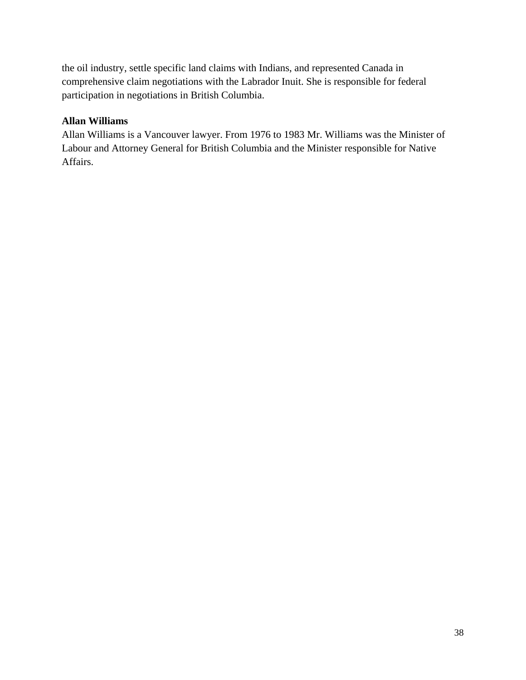the oil industry, settle specific land claims with Indians, and represented Canada in comprehensive claim negotiations with the Labrador Inuit. She is responsible for federal participation in negotiations in British Columbia.

## **Allan Williams**

Allan Williams is a Vancouver lawyer. From 1976 to 1983 Mr. Williams was the Minister of Labour and Attorney General for British Columbia and the Minister responsible for Native Affairs.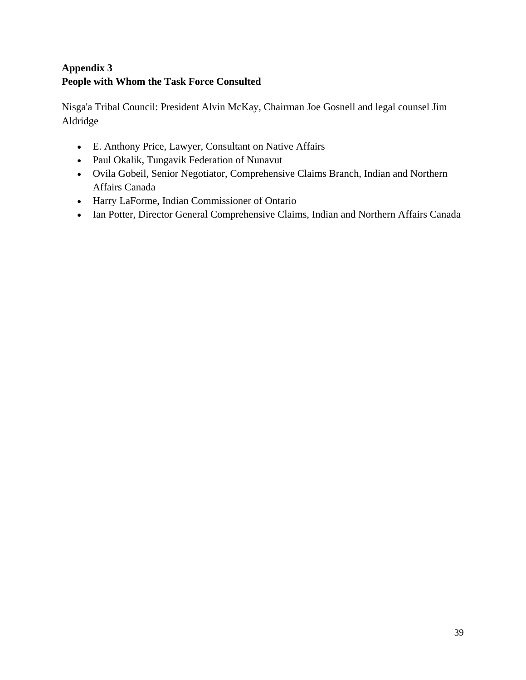# **Appendix 3 People with Whom the Task Force Consulted**

Nisga'a Tribal Council: President Alvin McKay, Chairman Joe Gosnell and legal counsel Jim Aldridge

- E. Anthony Price, Lawyer, Consultant on Native Affairs
- Paul Okalik, Tungavik Federation of Nunavut
- Ovila Gobeil, Senior Negotiator, Comprehensive Claims Branch, Indian and Northern Affairs Canada
- Harry LaForme, Indian Commissioner of Ontario
- Ian Potter, Director General Comprehensive Claims, Indian and Northern Affairs Canada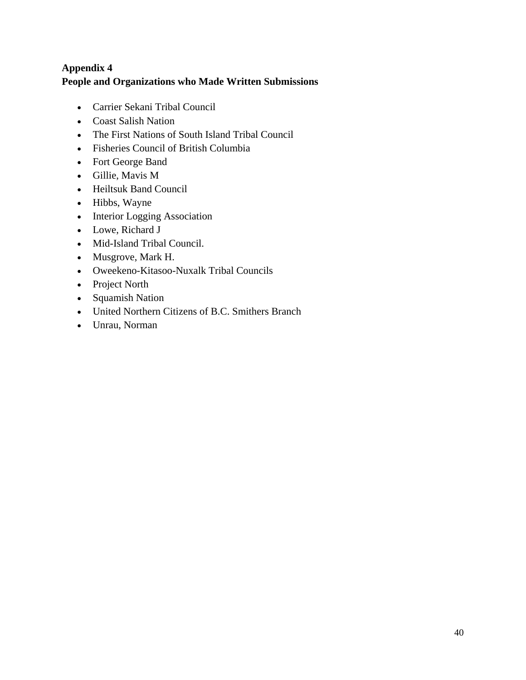# **Appendix 4 People and Organizations who Made Written Submissions**

- Carrier Sekani Tribal Council
- Coast Salish Nation
- The First Nations of South Island Tribal Council
- Fisheries Council of British Columbia
- Fort George Band
- Gillie, Mavis M
- Heiltsuk Band Council
- Hibbs, Wayne
- Interior Logging Association
- Lowe, Richard J
- Mid-Island Tribal Council.
- Musgrove, Mark H.
- Oweekeno-Kitasoo-Nuxalk Tribal Councils
- Project North
- Squamish Nation
- United Northern Citizens of B.C. Smithers Branch
- Unrau, Norman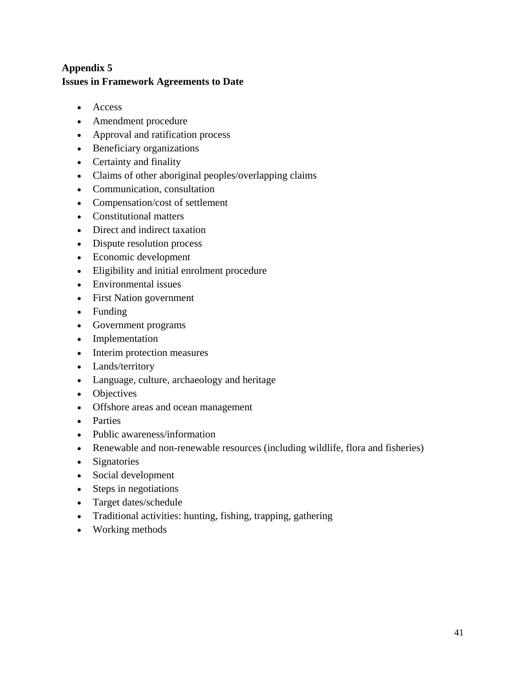## **Appendix 5 Issues in Framework Agreements to Date**

- Access
- Amendment procedure
- Approval and ratification process
- Beneficiary organizations
- Certainty and finality
- Claims of other aboriginal peoples/overlapping claims
- Communication, consultation
- Compensation/cost of settlement
- Constitutional matters
- Direct and indirect taxation
- Dispute resolution process
- Economic development
- Eligibility and initial enrolment procedure
- Environmental issues
- First Nation government
- Funding
- Government programs
- Implementation
- Interim protection measures
- Lands/territory
- Language, culture, archaeology and heritage
- Objectives
- Offshore areas and ocean management
- Parties
- Public awareness/information
- Renewable and non-renewable resources (including wildlife, flora and fisheries)
- Signatories
- Social development
- Steps in negotiations
- Target dates/schedule
- Traditional activities: hunting, fishing, trapping, gathering
- Working methods